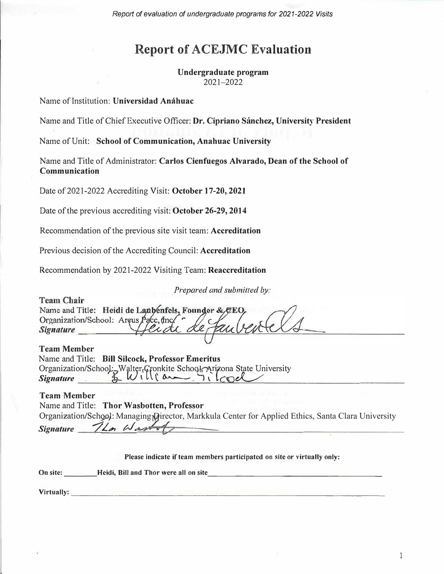*Report of evaluation of undergraduate programs for 2021-2022 Visits* 

# **Report of ACEJMC Evaluation**

**Undergraduate program**  2021-2022

Name ofInstitution: **Universidad Anahuac** 

Name and Title ofChiefExecutive Officer: **Dr. Cipriano Sánchez, University President**

Name of Unit: School of Communication, Anahuac University

Name and Title of Administrator: **Carlos Cienfuegos Alvarado, Dean of the School of Communication** 

Date of 2021-2022 Accrediting Visit: October 17-20, 2021

Date of the previous accrediting visit: October 26-29, 2014

Recommendation of the previous site visit team: **Accreditation** 

Previous decision of the Accrediting Council: **Accreditation** 

Recommendation by 2021-2022 Visiting Team: **Reaccreditation** 

*Prepared and submitted by:* 

**Team Chair** Name and Title: Heidi de Lanbenfels, Founder & CEO, Organization/School: Arcus Pace, Inc. **Signature** 

**Team Member** 

|                  | Name and Title: Bill Silcock, Professor Emeritus                                                                                      |
|------------------|---------------------------------------------------------------------------------------------------------------------------------------|
|                  | Organization/School: Walter Cronkite School: Arizona State University<br>Signature $U \cup U$ with the Columbus of Columbus Signature |
| <b>Signature</b> |                                                                                                                                       |

#### **Team Member**

Name and Title: **Thor Wasbotten, Professor**  Organization/School: Managing Director, Markkula Center for Applied Ethics, Santa Clara University *Signature '7L,, U.* 

**Please indicate if team members participated on site or virtually only: On site: Consider Example 1 Heidi, Bill and Thor were all on site Virtually:** The contract of the contract of the contract of the contract of the contract of the contract of the contract of the contract of the contract of the contract of the contract of the contract of the contract of t

1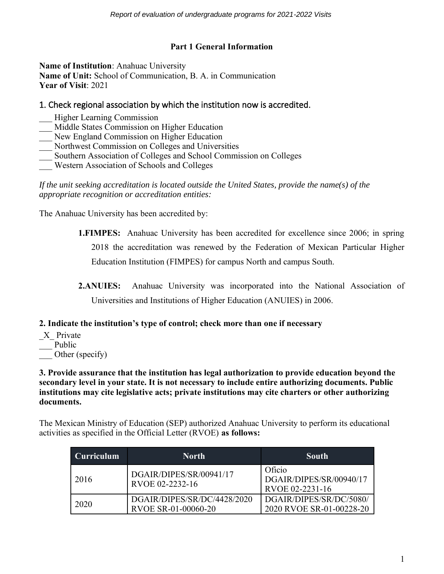# **Part 1 General Information**

**Name of Institution**: Anahuac University **Name of Unit:** School of Communication, B. A. in Communication **Year of Visit**: 2021

# 1. Check regional association by which the institution now is accredited.

- \_\_\_ Higher Learning Commission
- Middle States Commission on Higher Education
- New England Commission on Higher Education
- \_\_\_ Northwest Commission on Colleges and Universities
- \_\_\_ Southern Association of Colleges and School Commission on Colleges
- \_\_\_ Western Association of Schools and Colleges

*If the unit seeking accreditation is located outside the United States, provide the name(s) of the appropriate recognition or accreditation entities:* 

The Anahuac University has been accredited by:

**1.FIMPES:** Anahuac University has been accredited for excellence since 2006; in spring 2018 the accreditation was renewed by the Federation of Mexican Particular Higher Education Institution (FIMPES) for campus North and campus South.

**2.ANUIES:** Anahuac University was incorporated into the National Association of Universities and Institutions of Higher Education (ANUIES) in 2006.

# **2. Indicate the institution's type of control; check more than one if necessary**

\_X\_ Private Public Other (specify)

**3. Provide assurance that the institution has legal authorization to provide education beyond the secondary level in your state. It is not necessary to include entire authorizing documents. Public institutions may cite legislative acts; private institutions may cite charters or other authorizing documents.**

The Mexican Ministry of Education (SEP) authorized Anahuac University to perform its educational activities as specified in the Official Letter (RVOE) **as follows:**

| <b>Curriculum</b> | <b>North</b>                                       | South                                                |
|-------------------|----------------------------------------------------|------------------------------------------------------|
| 2016              | DGAIR/DIPES/SR/00941/17<br>RVOE 02-2232-16         | Oficio<br>DGAIR/DIPES/SR/00940/17<br>RVOE 02-2231-16 |
| 2020              | DGAIR/DIPES/SR/DC/4428/2020<br>RVOE SR-01-00060-20 | DGAIR/DIPES/SR/DC/5080/<br>2020 RVOE SR-01-00228-20  |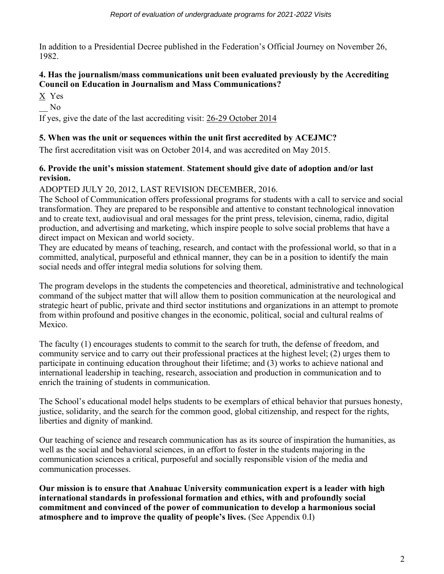In addition to a Presidential Decree published in the Federation's Official Journey on November 26, 1982.

# **4. Has the journalism/mass communications unit been evaluated previously by the Accrediting Council on Education in Journalism and Mass Communications?**

X Yes

\_\_ No

If yes, give the date of the last accrediting visit: 26-29 October 2014

# **5. When was the unit or sequences within the unit first accredited by ACEJMC?**

The first accreditation visit was on October 2014, and was accredited on May 2015.

# **6. Provide the unit's mission statement**. **Statement should give date of adoption and/or last revision.**

# ADOPTED JULY 20, 2012, LAST REVISION DECEMBER, 2016.

The School of Communication offers professional programs for students with a call to service and social transformation. They are prepared to be responsible and attentive to constant technological innovation and to create text, audiovisual and oral messages for the print press, television, cinema, radio, digital production, and advertising and marketing, which inspire people to solve social problems that have a direct impact on Mexican and world society.

They are educated by means of teaching, research, and contact with the professional world, so that in a committed, analytical, purposeful and ethnical manner, they can be in a position to identify the main social needs and offer integral media solutions for solving them.

The program develops in the students the competencies and theoretical, administrative and technological command of the subject matter that will allow them to position communication at the neurological and strategic heart of public, private and third sector institutions and organizations in an attempt to promote from within profound and positive changes in the economic, political, social and cultural realms of Mexico.

The faculty (1) encourages students to commit to the search for truth, the defense of freedom, and community service and to carry out their professional practices at the highest level; (2) urges them to participate in continuing education throughout their lifetime; and (3) works to achieve national and international leadership in teaching, research, association and production in communication and to enrich the training of students in communication.

The School's educational model helps students to be exemplars of ethical behavior that pursues honesty, justice, solidarity, and the search for the common good, global citizenship, and respect for the rights, liberties and dignity of mankind.

Our teaching of science and research communication has as its source of inspiration the humanities, as well as the social and behavioral sciences, in an effort to foster in the students majoring in the communication sciences a critical, purposeful and socially responsible vision of the media and communication processes.

**Our mission is to ensure that Anahuac University communication expert is a leader with high international standards in professional formation and ethics, with and profoundly social commitment and convinced of the power of communication to develop a harmonious social atmosphere and to improve the quality of people's lives.** (See Appendix 0.I)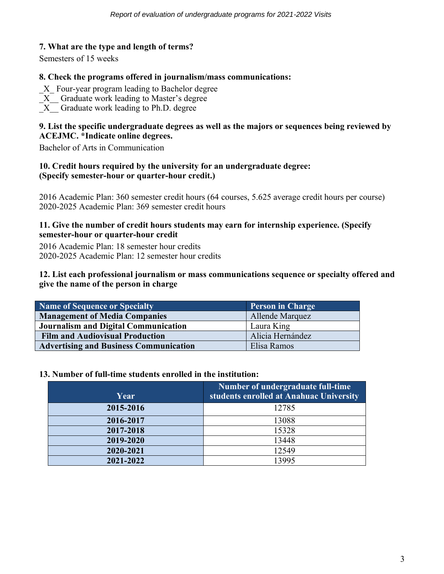# **7. What are the type and length of terms?**

Semesters of 15 weeks

#### **8. Check the programs offered in journalism/mass communications:**

- \_X\_ Four-year program leading to Bachelor degree
- \_X\_\_ Graduate work leading to Master's degree
- $\overline{X}$  Graduate work leading to Ph.D. degree

# **9. List the specific undergraduate degrees as well as the majors or sequences being reviewed by ACEJMC. \*Indicate online degrees.**

Bachelor of Arts in Communication

## **10. Credit hours required by the university for an undergraduate degree: (Specify semester-hour or quarter-hour credit.)**

2016 Academic Plan: 360 semester credit hours (64 courses, 5.625 average credit hours per course) 2020-2025 Academic Plan: 369 semester credit hours

## **11. Give the number of credit hours students may earn for internship experience. (Specify semester-hour or quarter-hour credit**

2016 Academic Plan: 18 semester hour credits 2020-2025 Academic Plan: 12 semester hour credits

# **12. List each professional journalism or mass communications sequence or specialty offered and give the name of the person in charge**

| Name of Sequence or Specialty                 | <b>Person in Charge</b> |
|-----------------------------------------------|-------------------------|
| <b>Management of Media Companies</b>          | Allende Marquez         |
| Journalism and Digital Communication          | Laura King              |
| <b>Film and Audiovisual Production</b>        | Alicia Hernández        |
| <b>Advertising and Business Communication</b> | Elisa Ramos             |

#### **13. Number of full-time students enrolled in the institution:**

| Year      | Number of undergraduate full-time<br>students enrolled at Anahuac University |
|-----------|------------------------------------------------------------------------------|
| 2015-2016 | 12785                                                                        |
| 2016-2017 | 13088                                                                        |
| 2017-2018 | 15328                                                                        |
| 2019-2020 | 13448                                                                        |
| 2020-2021 | 12549                                                                        |
| 2021-2022 | 13995                                                                        |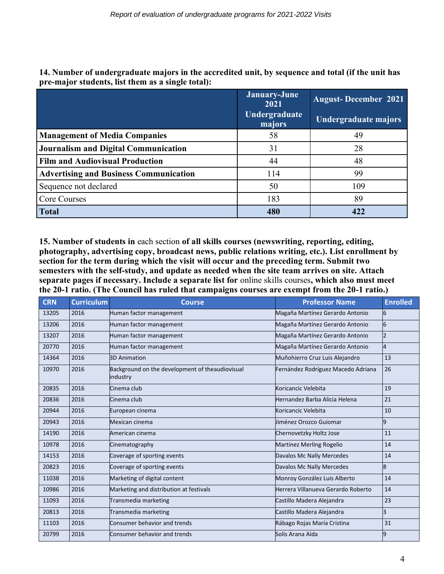|                                               | January-June<br>2021<br>Undergraduate<br>majors | <b>August-December 2021</b><br>Undergraduate majors |
|-----------------------------------------------|-------------------------------------------------|-----------------------------------------------------|
| <b>Management of Media Companies</b>          | 58                                              | 49                                                  |
| <b>Journalism and Digital Communication</b>   | 31                                              | 28                                                  |
| <b>Film and Audiovisual Production</b>        | 44                                              | 48                                                  |
| <b>Advertising and Business Communication</b> | 114                                             | 99                                                  |
| Sequence not declared                         | 50                                              | 109                                                 |
| Core Courses                                  | 183                                             | 89                                                  |
| <b>Total</b>                                  | 480                                             | 422                                                 |

**14. Number of undergraduate majors in the accredited unit, by sequence and total (if the unit has pre-major students, list them as a single total):**

**15. Number of students in** each section **of all skills courses (newswriting, reporting, editing, photography, advertising copy, broadcast news, public relations writing, etc.). List enrollment by section for the term during which the visit will occur and the preceding term. Submit two semesters with the self-study, and update as needed when the site team arrives on site. Attach separate pages if necessary. Include a separate list for** online skills courses**, which also must meet the 20-1 ratio. (The Council has ruled that campaigns courses are exempt from the 20-1 ratio.)**

| <b>CRN</b> | <b>Curriculum</b> | <b>Course</b>                                               | <b>Professor Name</b>              | <b>Enrolled</b> |
|------------|-------------------|-------------------------------------------------------------|------------------------------------|-----------------|
| 13205      | 2016              | Human factor management                                     | Magaña Martínez Gerardo Antonio    | 6               |
| 13206      | 2016              | Human factor management                                     | Magaña Martínez Gerardo Antonio    | 6               |
| 13207      | 2016              | Human factor management                                     | Magaña Martínez Gerardo Antonio    | 2               |
| 20770      | 2016              | Human factor management                                     | Magaña Martínez Gerardo Antonio    | 4               |
| 14364      | 2016              | <b>3D Animation</b>                                         | Muñohierro Cruz Luis Alejandro     | 13              |
| 10970      | 2016              | Background on the development of theaudiovisual<br>industry | Fernández Rodríguez Macedo Adriana | 26              |
| 20835      | 2016              | Cinema club                                                 | Koricancic Velebita                | 19              |
| 20836      | 2016              | Cinema club                                                 | Hernandez Barba Alicia Helena      | 21              |
| 20944      | 2016              | European cinema                                             | Koricancic Velebita                | 10              |
| 20943      | 2016              | Mexican cinema                                              | Uiménez Orozco Guiomar             | 9               |
| 14190      | 2016              | American cinema                                             | Chernovetzky Holtz Jose            | 11              |
| 10978      | 2016              | Cinematography                                              | <b>Martinez Merling Rogelio</b>    | 14              |
| 14153      | 2016              | Coverage of sporting events                                 | Davalos Mc Nally Mercedes          | 14              |
| 20823      | 2016              | Coverage of sporting events                                 | Davalos Mc Nally Mercedes          | 8               |
| 11038      | 2016              | Marketing of digital content                                | Monroy González Luis Alberto       | 14              |
| 10986      | 2016              | Marketing and distribution at festivals                     | Herrera Villanueva Gerardo Roberto | 14              |
| 11093      | 2016              | Transmedia marketing                                        | Castillo Madera Alejandra          | 23              |
| 20813      | 2016              | Transmedia marketing                                        | Castillo Madera Alejandra          | 3               |
| 11103      | 2016              | Consumer behavior and trends                                | Rábago Rojas María Cristina        | 31              |
| 20799      | 2016              | Consumer behavior and trends                                | Solís Arana Aída                   | 9               |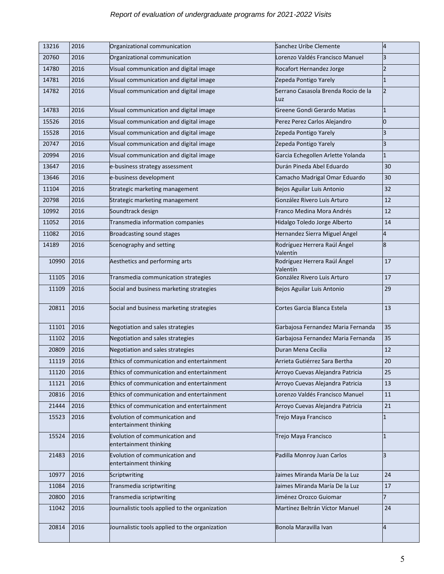# *Report of evaluation of undergraduate programs for 2021-2022 Visits*

| 13216 | 2016 | Organizational communication                             | Sanchez Uribe Clemente                     | 4              |
|-------|------|----------------------------------------------------------|--------------------------------------------|----------------|
| 20760 | 2016 | Organizational communication                             | Lorenzo Valdés Francisco Manuel            | З              |
| 14780 | 2016 | Visual communication and digital image                   | Rocafort Hernandez Jorge                   | $\overline{2}$ |
| 14781 | 2016 | Visual communication and digital image                   | Zepeda Pontigo Yarely                      | 1              |
| 14782 | 2016 | Visual communication and digital image                   | Serrano Casasola Brenda Rocio de la<br>Luz | $\overline{2}$ |
| 14783 | 2016 | Visual communication and digital image                   | Greene Gondi Gerardo Matias                | 1              |
| 15526 | 2016 | Visual communication and digital image                   | Perez Perez Carlos Alejandro               | 0              |
| 15528 | 2016 | Visual communication and digital image                   | Zepeda Pontigo Yarely                      | З              |
| 20747 | 2016 | Visual communication and digital image                   | Zepeda Pontigo Yarely                      | 3              |
| 20994 | 2016 | Visual communication and digital image                   | Garcia Echegollen Arlette Yolanda          | 1              |
| 13647 | 2016 | e-business strategy assessment                           | Durán Pineda Abel Eduardo                  | 30             |
| 13646 | 2016 | e-business development                                   | Camacho Madrigal Omar Eduardo              | 30             |
| 11104 | 2016 | Strategic marketing management                           | Bejos Aguilar Luis Antonio                 | 32             |
| 20798 | 2016 | Strategic marketing management                           | González Rivero Luis Arturo                | 12             |
| 10992 | 2016 | Soundtrack design                                        | Franco Medina Mora Andrés                  | 12             |
| 11052 | 2016 | Transmedia information companies                         | Hidalgo Toledo Jorge Alberto               | 14             |
| 11082 | 2016 | Broadcasting sound stages                                | Hernandez Sierra Miguel Angel              | 4              |
| 14189 | 2016 | Scenography and setting                                  | Rodríguez Herrera Raúl Ángel<br>Valentín   | 8              |
| 10990 | 2016 | Aesthetics and performing arts                           | Rodríguez Herrera Raúl Ángel<br>Valentín   | 17             |
| 11105 | 2016 | Transmedia communication strategies                      | González Rivero Luis Arturo                | 17             |
| 11109 | 2016 | Social and business marketing strategies                 | Bejos Aguilar Luis Antonio                 | 29             |
| 20811 | 2016 | Social and business marketing strategies                 | Cortes Garcia Blanca Estela                | 13             |
| 11101 | 2016 | Negotiation and sales strategies                         | Garbajosa Fernandez Maria Fernanda         | 35             |
| 11102 | 2016 | Negotiation and sales strategies                         | Garbajosa Fernandez Maria Fernanda         | 35             |
| 20809 | 2016 | Negotiation and sales strategies                         | Duran Mena Cecilia                         | 12             |
| 11119 | 2016 | Ethics of communication and entertainment                | Arrieta Gutiérrez Sara Bertha              | 20             |
| 11120 | 2016 | Ethics of communication and entertainment                | Arroyo Cuevas Alejandra Patricia           | 25             |
| 11121 | 2016 | Ethics of communication and entertainment                | Arroyo Cuevas Alejandra Patricia           | 13             |
| 20816 | 2016 | Ethics of communication and entertainment                | Lorenzo Valdés Francisco Manuel            | 11             |
| 21444 | 2016 | Ethics of communication and entertainment                | Arroyo Cuevas Alejandra Patricia           | 21             |
| 15523 | 2016 | Evolution of communication and<br>entertainment thinking | Trejo Maya Francisco                       | 1              |
| 15524 | 2016 | Evolution of communication and<br>entertainment thinking | Trejo Maya Francisco                       | 1              |
| 21483 | 2016 | Evolution of communication and<br>entertainment thinking | Padilla Monroy Juan Carlos                 | 3              |
| 10977 | 2016 | Scriptwriting                                            | Jaimes Miranda María De la Luz             | 24             |
| 11084 | 2016 | Transmedia scriptwriting                                 | Jaimes Miranda María De la Luz             | 17             |
| 20800 | 2016 | Transmedia scriptwriting                                 | Jiménez Orozco Guiomar                     | $\overline{7}$ |
| 11042 | 2016 | Journalistic tools applied to the organization           | Martínez Beltrán Víctor Manuel             | 24             |
| 20814 | 2016 | Journalistic tools applied to the organization           | Bonola Maravilla Ivan                      | 4              |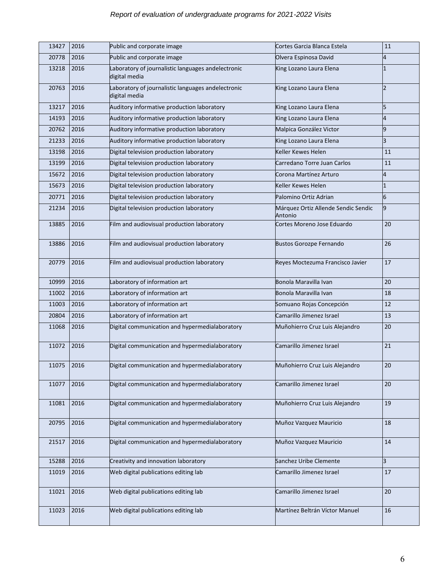| 13427      | 2016 | Public and corporate image                                          | Cortes Garcia Blanca Estela                    | 11             |
|------------|------|---------------------------------------------------------------------|------------------------------------------------|----------------|
| 20778      | 2016 | Public and corporate image                                          | Olvera Espinosa David                          | 4              |
| 13218      | 2016 | Laboratory of journalistic languages andelectronic<br>digital media | King Lozano Laura Elena                        | $\mathbf{1}$   |
| 20763      | 2016 | Laboratory of journalistic languages andelectronic<br>digital media | King Lozano Laura Elena                        | $\overline{2}$ |
| 13217      | 2016 | Auditory informative production laboratory                          | King Lozano Laura Elena                        | 5              |
| 14193      | 2016 | Auditory informative production laboratory                          | King Lozano Laura Elena                        | 4              |
| 20762      | 2016 | Auditory informative production laboratory                          | Malpica González Victor                        | 9              |
| 21233      | 2016 | Auditory informative production laboratory                          | King Lozano Laura Elena                        | 3              |
| 13198      | 2016 | Digital television production laboratory                            | Keller Kewes Helen                             | 11             |
| 13199      | 2016 | Digital television production laboratory                            | Carredano Torre Juan Carlos                    | 11             |
| 15672      | 2016 | Digital television production laboratory                            | Corona Martínez Arturo                         | 4              |
| 15673      | 2016 | Digital television production laboratory                            | Keller Kewes Helen                             | $\mathbf{1}$   |
| 20771      | 2016 | Digital television production laboratory                            | Palomino Ortiz Adrian                          | 6              |
| 21234      | 2016 | Digital television production laboratory                            | Márquez Ortiz Allende Sendic Sendic<br>Antonio | 9              |
| 13885      | 2016 | Film and audiovisual production laboratory                          | Cortes Moreno Jose Eduardo                     | 20             |
| 13886      | 2016 | Film and audiovisual production laboratory                          | <b>Bustos Gorozpe Fernando</b>                 | 26             |
| 20779      | 2016 | Film and audiovisual production laboratory                          | Reyes Moctezuma Francisco Javier               | 17             |
| 10999      | 2016 | Laboratory of information art                                       | Bonola Maravilla Ivan                          | 20             |
| 11002      | 2016 | Laboratory of information art                                       | Bonola Maravilla Ivan                          | 18             |
| 11003      | 2016 | Laboratory of information art                                       | Somuano Rojas Concepción                       | 12             |
| 20804      | 2016 | Laboratory of information art                                       | Camarillo Jimenez Israel                       | 13             |
| 11068      | 2016 | Digital communication and hypermedialaboratory                      | Muñohierro Cruz Luis Alejandro                 | 20             |
| 11072      | 2016 | Digital communication and hypermedialaboratory                      | Camarillo Jimenez Israel                       | 21             |
| 11075 2016 |      | Digital communication and hypermedialaboratory                      | Muñohierro Cruz Luis Alejandro                 | 20             |
| 11077      | 2016 | Digital communication and hypermedialaboratory                      | Camarillo Jimenez Israel                       | 20             |
| 11081      | 2016 | Digital communication and hypermedialaboratory                      | Muñohierro Cruz Luis Alejandro                 | 19             |
| 20795      | 2016 | Digital communication and hypermedialaboratory                      | Muñoz Vazquez Mauricio                         | 18             |
| 21517      | 2016 | Digital communication and hypermedialaboratory                      | Muñoz Vazquez Mauricio                         | 14             |
| 15288      | 2016 | Creativity and innovation laboratory                                | Sanchez Uribe Clemente                         | 3              |
| 11019      | 2016 | Web digital publications editing lab                                | Camarillo Jimenez Israel                       | 17             |
| 11021      | 2016 | Web digital publications editing lab                                | Camarillo Jimenez Israel                       | 20             |
| 11023      | 2016 | Web digital publications editing lab                                | Martínez Beltrán Víctor Manuel                 | 16             |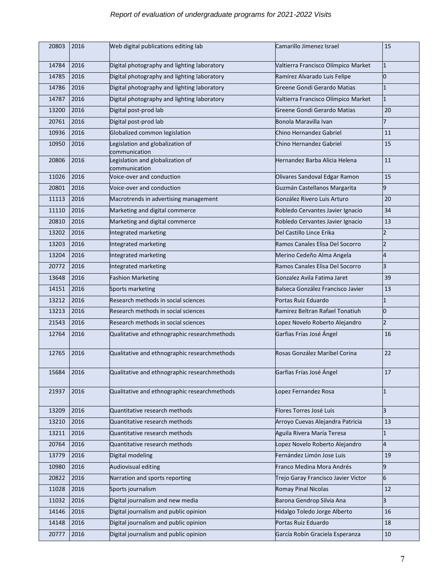| 20803 | 2016 | Web digital publications editing lab              | Camarillo Jimenez Israel            | 15             |
|-------|------|---------------------------------------------------|-------------------------------------|----------------|
|       |      |                                                   |                                     |                |
| 14784 | 2016 | Digital photography and lighting laboratory       | Valtierra Francisco Olímpico Market | $\overline{1}$ |
| 14785 | 2016 | Digital photography and lighting laboratory       | Ramírez Alvarado Luis Felipe        | 0              |
| 14786 | 2016 | Digital photography and lighting laboratory       | Greene Gondi Gerardo Matias         | $\overline{1}$ |
| 14787 | 2016 | Digital photography and lighting laboratory       | Valtierra Francisco Olímpico Market | 1              |
| 13200 | 2016 | Digital post-prod lab                             | Greene Gondi Gerardo Matias         | 20             |
| 20761 | 2016 | Digital post-prod lab                             | Bonola Maravilla Ivan               | 7              |
| 10936 | 2016 | Globalized common legislation                     | Chino Hernandez Gabriel             | 11             |
| 10950 | 2016 | Legislation and globalization of<br>communication | Chino Hernandez Gabriel             | 15             |
| 20806 | 2016 | Legislation and globalization of<br>communication | Hernandez Barba Alicia Helena       | 11             |
| 11026 | 2016 | Voice-over and conduction                         | Olivares Sandoval Edgar Ramon       | 15             |
| 20801 | 2016 | Voice-over and conduction                         | Guzmán Castellanos Margarita        | 9              |
| 11113 | 2016 | Macrotrends in advertising management             | González Rivero Luis Arturo         | 20             |
| 11110 | 2016 | Marketing and digital commerce                    | Robledo Cervantes Javier Ignacio    | 34             |
| 20810 | 2016 | Marketing and digital commerce                    | Robledo Cervantes Javier Ignacio    | 13             |
| 13202 | 2016 | Integrated marketing                              | Del Castillo Lince Erika            | 2              |
| 13203 | 2016 | Integrated marketing                              | Ramos Canales Elisa Del Socorro     | $\overline{2}$ |
| 13204 | 2016 | Integrated marketing                              | Merino Cedeño Alma Angela           | 4              |
| 20772 | 2016 | Integrated marketing                              | Ramos Canales Elisa Del Socorro     | 3              |
| 13648 | 2016 | <b>Fashion Marketing</b>                          | Gonzalez Avila Fatima Jaret         | 39             |
| 14151 | 2016 | Sports marketing                                  | Balseca González Francisco Javier   | 13             |
| 13212 | 2016 | Research methods in social sciences               | Portas Ruiz Eduardo                 | $\overline{1}$ |
| 13213 | 2016 | Research methods in social sciences               | Ramirez Beltran Rafael Tonatiuh     | 0              |
| 21543 | 2016 | Research methods in social sciences               | Lopez Novelo Roberto Alejandro      | $\overline{2}$ |
| 12764 | 2016 | Qualitative and ethnographic researchmethods      | Garfias Frías José Ángel            | 16             |
|       |      |                                                   |                                     |                |
| 12765 | 2016 | Qualitative and ethnographic researchmethods      | Rosas González Maribel Corina       | 22             |
| 15684 | 2016 | Qualitative and ethnographic researchmethods      | Garfias Frías José Ángel            | 17             |
| 21937 | 2016 | Qualitative and ethnographic researchmethods      | Lopez Fernandez Rosa                | $\overline{1}$ |
|       |      |                                                   |                                     |                |
| 13209 | 2016 | Quantitative research methods                     | Flores Torres José Luis             | 3              |
| 13210 | 2016 | Quantitative research methods                     | Arroyo Cuevas Alejandra Patricia    | 13             |
| 13211 | 2016 | Quantitative research methods                     | Aguila Rivera María Teresa          | $\overline{1}$ |
| 20764 | 2016 | Quantitative research methods                     | Lopez Novelo Roberto Alejandro      | 4              |
| 13779 | 2016 | Digital modeling                                  | Fernández Limón Jose Luis           | 19             |
| 10980 | 2016 | Audiovisual editing                               | Franco Medina Mora Andrés           | 9              |
| 20822 | 2016 | Narration and sports reporting                    | Trejo Garay Francisco Javier Victor | 6              |
| 11028 | 2016 | Sports journalism                                 | <b>Romay Pinal Nicolas</b>          | 12             |
| 11032 | 2016 | Digital journalism and new media                  | Barona Gendrop Silvia Ana           | 3              |
| 14146 | 2016 | Digital journalism and public opinion             | Hidalgo Toledo Jorge Alberto        | 16             |
| 14148 | 2016 | Digital journalism and public opinion             | Portas Ruiz Eduardo                 | 18             |
| 20777 | 2016 | Digital journalism and public opinion             | García Robín Graciela Esperanza     | 10             |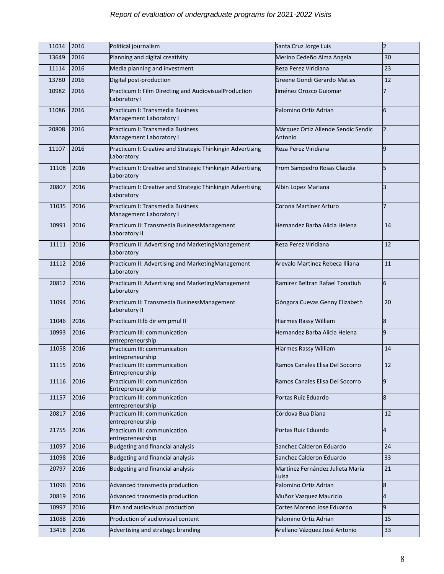| 11034      | 2016 | Political journalism                                                     | Santa Cruz Jorge Luis                          | $\overline{2}$ |
|------------|------|--------------------------------------------------------------------------|------------------------------------------------|----------------|
| 13649      | 2016 | Planning and digital creativity                                          | Merino Cedeño Alma Angela                      | 30             |
| 11114      | 2016 | Media planning and investment                                            | Reza Perez Viridiana                           | 23             |
| 13780      | 2016 | Digital post-production                                                  | Greene Gondi Gerardo Matias                    | 12             |
| 10982      | 2016 | Practicum I: Film Directing and AudiovisualProduction<br>Laboratory I    | Jiménez Orozco Guiomar                         | 7              |
| 11086      | 2016 | Practicum I: Transmedia Business<br>Management Laboratory I              | Palomino Ortiz Adrian                          | 6              |
| 20808      | 2016 | Practicum I: Transmedia Business<br>Management Laboratory I              | Márquez Ortiz Allende Sendic Sendic<br>Antonio | $\overline{2}$ |
| 11107      | 2016 | Practicum I: Creative and Strategic Thinkingin Advertising<br>Laboratory | Reza Perez Viridiana                           | 9              |
| 11108      | 2016 | Practicum I: Creative and Strategic Thinkingin Advertising<br>Laboratory | From Sampedro Rosas Claudia                    | 5              |
| 20807      | 2016 | Practicum I: Creative and Strategic Thinkingin Advertising<br>Laboratory | Albin Lopez Mariana                            | 3              |
| 11035      | 2016 | Practicum I: Transmedia Business<br>Management Laboratory I              | Corona Martínez Arturo                         | 7              |
| 10991      | 2016 | Practicum II: Transmedia BusinessManagement<br>Laboratory II             | Hernandez Barba Alicia Helena                  | 14             |
| 11111      | 2016 | Practicum II: Advertising and MarketingManagement<br>Laboratory          | Reza Perez Viridiana                           | 12             |
| 11112      | 2016 | Practicum II: Advertising and MarketingManagement<br>Laboratory          | Arevalo Martinez Rebeca Illiana                | 11             |
| 20812      | 2016 | Practicum II: Advertising and Marketing Management<br>Laboratory         | Ramirez Beltran Rafael Tonatiuh                | 6              |
| 11094      | 2016 | Practicum II: Transmedia BusinessManagement<br>Laboratory II             | Góngora Cuevas Genny Elizabeth                 | 20             |
| 11046      | 2016 | Practicum II:lb dir em pmul II                                           | Hiarmes Rassy William                          | 8              |
| 10993      | 2016 | Practicum III: communication<br>entrepreneurship                         | Hernandez Barba Alicia Helena                  | 9              |
| 11058      | 2016 | Practicum III: communication<br>entrepreneurship                         | Hiarmes Rassy William                          | 14             |
| 11115 2016 |      | Practicum III: communication<br>Entrepreneurship                         | Ramos Canales Elisa Del Socorro                | 12             |
| 11116      | 2016 | Practicum III: communication<br>Entrepreneurship                         | Ramos Canales Elisa Del Socorro                | 9              |
| 11157      | 2016 | Practicum III: communication<br>entrepreneurship                         | Portas Ruiz Eduardo                            | 8              |
| 20817      | 2016 | Practicum III: communication<br>entrepreneurship                         | Córdova Bua Diana                              | 12             |
| 21755      | 2016 | Practicum III: communication<br>entrepreneurship                         | Portas Ruiz Eduardo                            | 4              |
| 11097      | 2016 | <b>Budgeting and financial analysis</b>                                  | Sanchez Calderon Eduardo                       | 24             |
| 11098      | 2016 | <b>Budgeting and financial analysis</b>                                  | Sanchez Calderon Eduardo                       | 33             |
| 20797      | 2016 | <b>Budgeting and financial analysis</b>                                  | Martínez Fernández Julieta María<br>Luisa      | 21             |
| 11096      | 2016 | Advanced transmedia production                                           | Palomino Ortiz Adrian                          | 8              |
| 20819      | 2016 | Advanced transmedia production                                           | Muñoz Vazquez Mauricio                         | 4              |
| 10997      | 2016 | Film and audiovisual production                                          | Cortes Moreno Jose Eduardo                     | 9              |
| 11088      | 2016 | Production of audiovisual content                                        | Palomino Ortiz Adrian                          | 15             |
| 13418      | 2016 | Advertising and strategic branding                                       | Arellano Vázquez José Antonio                  | 33             |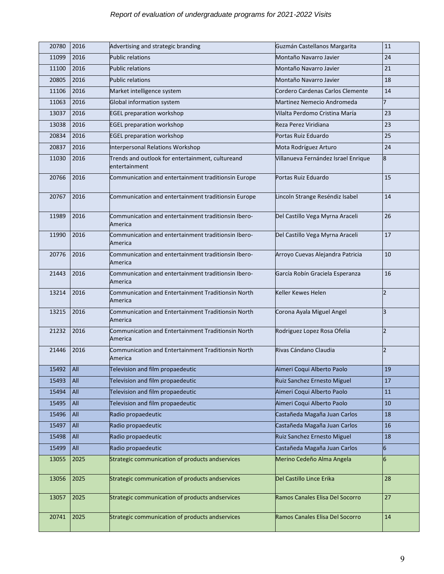| 20780 | 2016    | Advertising and strategic branding                                | Guzmán Castellanos Margarita        | 11             |
|-------|---------|-------------------------------------------------------------------|-------------------------------------|----------------|
| 11099 | 2016    | <b>Public relations</b>                                           | Montaño Navarro Javier              | 24             |
| 11100 | 2016    | <b>Public relations</b>                                           | Montaño Navarro Javier              | 21             |
| 20805 | 2016    | <b>Public relations</b>                                           | Montaño Navarro Javier              | 18             |
| 11106 | 2016    | Market intelligence system                                        | Cordero Cardenas Carlos Clemente    | 14             |
| 11063 | 2016    | Global information system                                         | Martinez Nemecio Andromeda          | $\overline{7}$ |
| 13037 | 2016    | <b>EGEL preparation workshop</b>                                  | Vilalta Perdomo Cristina María      | 23             |
| 13038 | 2016    | <b>EGEL preparation workshop</b>                                  | Reza Perez Viridiana                | 23             |
| 20834 | 2016    | <b>EGEL preparation workshop</b>                                  | Portas Ruiz Eduardo                 | 25             |
| 20837 | 2016    | Interpersonal Relations Workshop                                  | Mota Rodríguez Arturo               | 24             |
| 11030 | 2016    | Trends and outlook for entertainment, cultureand<br>entertainment | Villanueva Fernández Israel Enrique | 8              |
| 20766 | 2016    | Communication and entertainment traditionsin Europe               | Portas Ruiz Eduardo                 | 15             |
| 20767 | 2016    | Communication and entertainment traditionsin Europe               | Lincoln Strange Reséndiz Isabel     | 14             |
| 11989 | 2016    | Communication and entertainment traditionsin Ibero-<br>America    | Del Castillo Vega Myrna Araceli     | 26             |
| 11990 | 2016    | Communication and entertainment traditionsin Ibero-<br>America    | Del Castillo Vega Myrna Araceli     | 17             |
| 20776 | 2016    | Communication and entertainment traditionsin Ibero-<br>America    | Arroyo Cuevas Alejandra Patricia    | 10             |
| 21443 | 2016    | Communication and entertainment traditionsin Ibero-<br>America    | García Robín Graciela Esperanza     | 16             |
| 13214 | 2016    | Communication and Entertainment Traditionsin North<br>America     | Keller Kewes Helen                  | $\overline{2}$ |
| 13215 | 2016    | Communication and Entertainment Traditionsin North<br>America     | Corona Ayala Miguel Angel           | 3              |
| 21232 | 2016    | Communication and Entertainment Traditionsin North<br>America     | Rodriguez Lopez Rosa Ofelia         | $\overline{2}$ |
| 21446 | 2016    | Communication and Entertainment Traditionsin North<br>America     | Rivas Cándano Claudia               | $\overline{2}$ |
| 15492 | $ $ All | Television and film propaedeutic                                  | Aimeri Coqui Alberto Paolo          | 19             |
| 15493 | All     | Television and film propaedeutic                                  | Ruiz Sanchez Ernesto Miguel         | 17             |
| 15494 | All     | Television and film propaedeutic                                  | Aimeri Coqui Alberto Paolo          | 11             |
| 15495 | All     | Television and film propaedeutic                                  | Aimeri Coqui Alberto Paolo          | 10             |
| 15496 | All     | Radio propaedeutic                                                | Castañeda Magaña Juan Carlos        | 18             |
| 15497 | All     | Radio propaedeutic                                                | Castañeda Magaña Juan Carlos        | 16             |
| 15498 | All     | Radio propaedeutic                                                | Ruiz Sanchez Ernesto Miguel         | 18             |
| 15499 | All     | Radio propaedeutic                                                | Castañeda Magaña Juan Carlos        | 6              |
| 13055 | 2025    | Strategic communication of products andservices                   | Merino Cedeño Alma Angela           | 6              |
| 13056 | 2025    | Strategic communication of products andservices                   | Del Castillo Lince Erika            | 28             |
| 13057 | 2025    | Strategic communication of products andservices                   | Ramos Canales Elisa Del Socorro     | 27             |
| 20741 | 2025    | Strategic communication of products andservices                   | Ramos Canales Elisa Del Socorro     | 14             |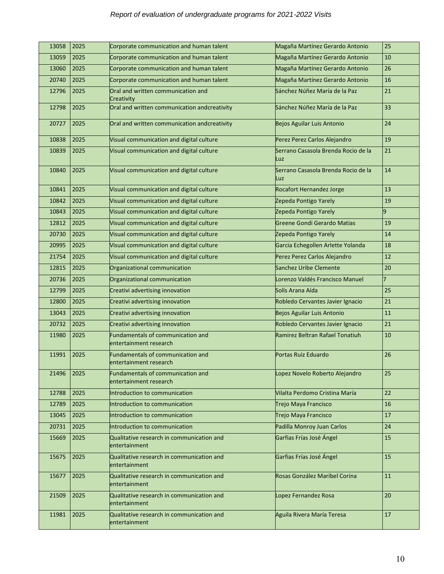| 13058 | 2025 | Corporate communication and human talent                    | Magaña Martínez Gerardo Antonio            | 25             |
|-------|------|-------------------------------------------------------------|--------------------------------------------|----------------|
| 13059 | 2025 | Corporate communication and human talent                    | Magaña Martínez Gerardo Antonio            | 10             |
| 13060 | 2025 | Corporate communication and human talent                    | Magaña Martínez Gerardo Antonio            | 26             |
| 20740 | 2025 | Corporate communication and human talent                    | Magaña Martínez Gerardo Antonio            | 16             |
| 12796 | 2025 | Oral and written communication and<br>Creativity            | Sánchez Núñez María de la Paz              | 21             |
| 12798 | 2025 | Oral and written communication andcreativity                | Sánchez Núñez María de la Paz              | 33             |
| 20727 | 2025 | Oral and written communication andcreativity                | <b>Bejos Aguilar Luis Antonio</b>          | 24             |
| 10838 | 2025 | Visual communication and digital culture                    | Perez Perez Carlos Alejandro               | 19             |
| 10839 | 2025 | Visual communication and digital culture                    | Serrano Casasola Brenda Rocio de la<br>Luz | 21             |
| 10840 | 2025 | Visual communication and digital culture                    | Serrano Casasola Brenda Rocio de la<br>Luz | 14             |
| 10841 | 2025 | Visual communication and digital culture                    | Rocafort Hernandez Jorge                   | 13             |
| 10842 | 2025 | Visual communication and digital culture                    | Zepeda Pontigo Yarely                      | 19             |
| 10843 | 2025 | Visual communication and digital culture                    | Zepeda Pontigo Yarely                      | 9              |
| 12812 | 2025 | Visual communication and digital culture                    | Greene Gondi Gerardo Matias                | 19             |
| 20730 | 2025 | Visual communication and digital culture                    | Zepeda Pontigo Yarely                      | 14             |
| 20995 | 2025 | Visual communication and digital culture                    | Garcia Echegollen Arlette Yolanda          | 18             |
| 21754 | 2025 | Visual communication and digital culture                    | Perez Perez Carlos Alejandro               | 12             |
| 12815 | 2025 | Organizational communication                                | <b>Sanchez Uribe Clemente</b>              | 20             |
| 20736 | 2025 | Organizational communication                                | Lorenzo Valdés Francisco Manuel            | $\overline{7}$ |
| 12799 | 2025 | Creativi advertising innovation                             | Solís Arana Aída                           | 25             |
| 12800 | 2025 | Creativi advertising innovation                             | Robledo Cervantes Javier Ignacio           | 21             |
| 13043 | 2025 | Creativi advertising innovation                             | <b>Bejos Aguilar Luis Antonio</b>          | 11             |
| 20732 | 2025 | Creativi advertising innovation                             | Robledo Cervantes Javier Ignacio           | 21             |
| 11980 | 2025 | Fundamentals of communication and<br>entertainment research | Ramirez Beltran Rafael Tonatiuh            | 10             |
| 11991 | 2025 | Fundamentals of communication and<br>entertainment research | Portas Ruiz Eduardo                        | 26             |
| 21496 | 2025 | Fundamentals of communication and<br>entertainment research | Lopez Novelo Roberto Alejandro             | 25             |
| 12788 | 2025 | Introduction to communication                               | Vilalta Perdomo Cristina María             | 22             |
| 12789 | 2025 | Introduction to communication                               | Trejo Maya Francisco                       | 16             |
| 13045 | 2025 | Introduction to communication                               | Trejo Maya Francisco                       | 17             |
| 20731 | 2025 | Introduction to communication                               | Padilla Monroy Juan Carlos                 | 24             |
| 15669 | 2025 | Qualitative research in communication and<br>entertainment  | Garfias Frías José Ángel                   | 15             |
| 15675 | 2025 | Qualitative research in communication and<br>entertainment  | Garfias Frías José Ángel                   | 15             |
| 15677 | 2025 | Qualitative research in communication and<br>entertainment  | Rosas González Maribel Corina              | 11             |
| 21509 | 2025 | Qualitative research in communication and<br>entertainment  | Lopez Fernandez Rosa                       | 20             |
| 11981 | 2025 | Qualitative research in communication and<br>entertainment  | Aguila Rivera María Teresa                 | 17             |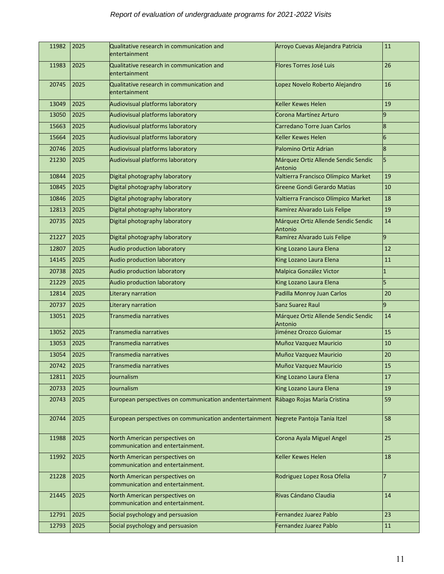| 11982      | 2025 | Qualitative research in communication and<br>entertainment                          | Arroyo Cuevas Alejandra Patricia               | 11     |
|------------|------|-------------------------------------------------------------------------------------|------------------------------------------------|--------|
| 11983      | 2025 | Qualitative research in communication and<br>entertainment                          | <b>Flores Torres José Luis</b>                 | 26     |
| 20745      | 2025 | Qualitative research in communication and<br>entertainment                          | Lopez Novelo Roberto Alejandro                 | 16     |
| 13049      | 2025 | Audiovisual platforms laboratory                                                    | <b>Keller Kewes Helen</b>                      | 19     |
| 13050      | 2025 | Audiovisual platforms laboratory                                                    | Corona Martínez Arturo                         | 9      |
| 15663      | 2025 | Audiovisual platforms laboratory                                                    | Carredano Torre Juan Carlos                    | 8      |
| 15664      | 2025 | Audiovisual platforms laboratory                                                    | <b>Keller Kewes Helen</b>                      | 6      |
| 20746      | 2025 | Audiovisual platforms laboratory                                                    | Palomino Ortiz Adrian                          | 8      |
| 21230      | 2025 | Audiovisual platforms laboratory                                                    | Márquez Ortiz Allende Sendic Sendic<br>Antonio | 5      |
| 10844      | 2025 | Digital photography laboratory                                                      | Valtierra Francisco Olímpico Market            | 19     |
| 10845      | 2025 | Digital photography laboratory                                                      | <b>Greene Gondi Gerardo Matias</b>             | 10     |
| 10846      | 2025 | Digital photography laboratory                                                      | Valtierra Francisco Olímpico Market            | 18     |
| 12813      | 2025 | Digital photography laboratory                                                      | Ramírez Alvarado Luis Felipe                   | 19     |
| 20735      | 2025 | Digital photography laboratory                                                      | Márquez Ortiz Allende Sendic Sendic<br>Antonio | 14     |
| 21227      | 2025 | Digital photography laboratory                                                      | Ramírez Alvarado Luis Felipe                   | 9      |
| 12807      | 2025 | Audio production laboratory                                                         | King Lozano Laura Elena                        | 12     |
| 14145      | 2025 | Audio production laboratory                                                         | King Lozano Laura Elena                        | $11\,$ |
| 20738      | 2025 | Audio production laboratory                                                         | Malpica González Victor                        | I1     |
| 21229      | 2025 | Audio production laboratory                                                         | King Lozano Laura Elena                        | 5      |
| 12814      | 2025 | Literary narration                                                                  | Padilla Monroy Juan Carlos                     | 20     |
| 20737      | 2025 | Literary narration                                                                  | Sanz Suarez Raul                               | l9     |
| 13051      | 2025 | Transmedia narratives                                                               | Márquez Ortiz Allende Sendic Sendic<br>Antonio | 14     |
| 13052      | 2025 | Transmedia narratives                                                               | Jiménez Orozco Guiomar                         | 15     |
| 13053      | 2025 | Transmedia narratives                                                               | Muñoz Vazquez Mauricio                         | 10     |
| 13054      | 2025 | Transmedia narratives                                                               | Muñoz Vazquez Mauricio                         | 20     |
| 20742 2025 |      | Transmedia narratives                                                               | Muñoz Vazquez Mauricio                         | 15     |
| 12811      | 2025 | Journalism                                                                          | King Lozano Laura Elena                        | 17     |
| 20733      | 2025 | Journalism                                                                          | King Lozano Laura Elena                        | 19     |
| 20743      | 2025 | European perspectives on communication andentertainment                             | Rábago Rojas María Cristina                    | 59     |
| 20744      | 2025 | European perspectives on communication andentertainment Negrete Pantoja Tania Itzel |                                                | 58     |
| 11988      | 2025 | North American perspectives on<br>communication and entertainment.                  | Corona Ayala Miguel Angel                      | 25     |
| 11992      | 2025 | North American perspectives on<br>communication and entertainment.                  | Keller Kewes Helen                             | 18     |
| 21228      | 2025 | North American perspectives on<br>communication and entertainment.                  | Rodriguez Lopez Rosa Ofelia                    | 17     |
| 21445      | 2025 | North American perspectives on<br>communication and entertainment.                  | Rivas Cándano Claudia                          | 14     |
| 12791      | 2025 | Social psychology and persuasion                                                    | <b>Fernandez Juarez Pablo</b>                  | 23     |
| 12793      | 2025 | Social psychology and persuasion                                                    | <b>Fernandez Juarez Pablo</b>                  | 11     |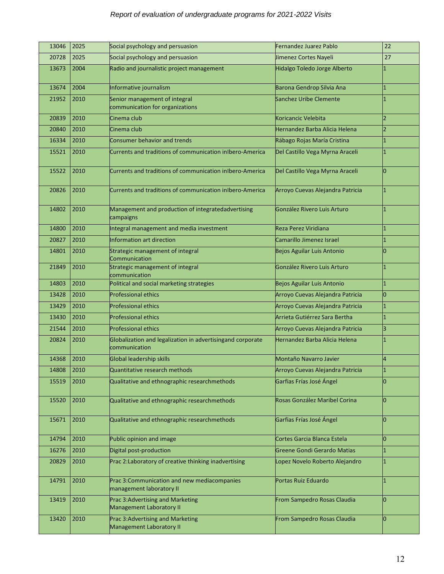| 13046 | 2025 | Social psychology and persuasion                                            | <b>Fernandez Juarez Pablo</b>     | 22             |
|-------|------|-----------------------------------------------------------------------------|-----------------------------------|----------------|
| 20728 | 2025 | Social psychology and persuasion                                            | Jimenez Cortes Nayeli             | 27             |
| 13673 | 2004 | Radio and journalistic project management                                   | Hidalgo Toledo Jorge Alberto      |                |
| 13674 | 2004 | Informative journalism                                                      | Barona Gendrop Silvia Ana         | 1              |
| 21952 | 2010 | Senior management of integral<br>communication for organizations            | <b>Sanchez Uribe Clemente</b>     |                |
| 20839 | 2010 | Cinema club                                                                 | Koricancic Velebita               | $\overline{2}$ |
| 20840 | 2010 | Cinema club                                                                 | Hernandez Barba Alicia Helena     | $\overline{2}$ |
| 16334 | 2010 | <b>Consumer behavior and trends</b>                                         | Rábago Rojas María Cristina       | 1              |
| 15521 | 2010 | Currents and traditions of communication inIbero-America                    | Del Castillo Vega Myrna Araceli   |                |
| 15522 | 2010 | Currents and traditions of communication inIbero-America                    | Del Castillo Vega Myrna Araceli   | 0              |
| 20826 | 2010 | Currents and traditions of communication inIbero-America                    | Arroyo Cuevas Alejandra Patricia  | 1              |
| 14802 | 2010 | Management and production of integratedadvertising<br>campaigns             | González Rivero Luis Arturo       |                |
| 14800 | 2010 | Integral management and media investment                                    | Reza Perez Viridiana              | 1              |
| 20827 | 2010 | Information art direction                                                   | Camarillo Jimenez Israel          | 1              |
| 14801 | 2010 | Strategic management of integral<br>Communication                           | Bejos Aguilar Luis Antonio        | 0              |
| 21849 | 2010 | Strategic management of integral<br>communication                           | González Rivero Luis Arturo       | 1              |
| 14803 | 2010 | Political and social marketing strategies                                   | <b>Bejos Aguilar Luis Antonio</b> | 1              |
| 13428 | 2010 | <b>Professional ethics</b>                                                  | Arroyo Cuevas Alejandra Patricia  | Ō              |
| 13429 | 2010 | <b>Professional ethics</b>                                                  | Arroyo Cuevas Alejandra Patricia  | 1              |
| 13430 | 2010 | <b>Professional ethics</b>                                                  | Arrieta Gutiérrez Sara Bertha     | 1              |
| 21544 | 2010 | <b>Professional ethics</b>                                                  | Arroyo Cuevas Alejandra Patricia  | 3              |
| 20824 | 2010 | Globalization and legalization in advertisingand corporate<br>communication | Hernandez Barba Alicia Helena     |                |
| 14368 | 2010 | <b>Global leadership skills</b>                                             | <b>Montaño Navarro Javier</b>     | 4              |
| 14808 | 2010 | Quantitative research methods                                               | Arroyo Cuevas Alejandra Patricia  | 1              |
| 15519 | 2010 | Qualitative and ethnographic researchmethods                                | Garfias Frías José Ángel          | 0              |
| 15520 | 2010 | Qualitative and ethnographic researchmethods                                | Rosas González Maribel Corina     | 0              |
| 15671 | 2010 | Qualitative and ethnographic researchmethods                                | Garfias Frías José Ángel          | 0              |
| 14794 | 2010 | Public opinion and image                                                    | Cortes Garcia Blanca Estela       | 0              |
| 16276 | 2010 | Digital post-production                                                     | Greene Gondi Gerardo Matias       | 1              |
| 20829 | 2010 | Prac 2: Laboratory of creative thinking inadvertising                       | Lopez Novelo Roberto Alejandro    | 1              |
| 14791 | 2010 | Prac 3: Communication and new mediacompanies<br>management laboratory II    | Portas Ruiz Eduardo               | 1              |
| 13419 | 2010 | Prac 3: Advertising and Marketing<br>Management Laboratory II               | From Sampedro Rosas Claudia       | 0              |
| 13420 | 2010 | Prac 3: Advertising and Marketing<br>Management Laboratory II               | From Sampedro Rosas Claudia       | 0              |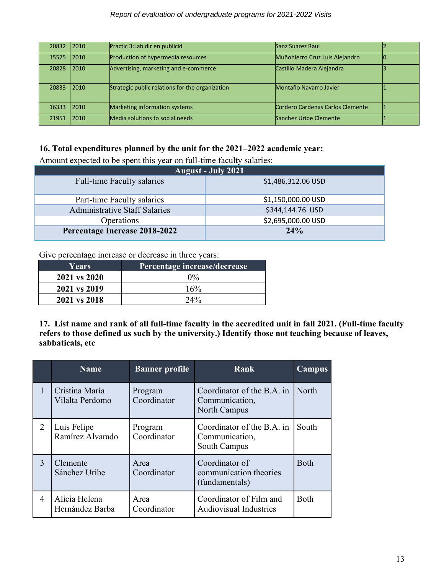#### *Report of evaluation of undergraduate programs for 2021-2022 Visits*

| 20832 2010 |      | Practic 3:Lab dir en publicid                   | Sanz Suarez Raul                 |  |
|------------|------|-------------------------------------------------|----------------------------------|--|
| 15525      | 2010 | Production of hypermedia resources              | Muñohierro Cruz Luis Alejandro   |  |
| 20828      | 2010 | Advertising, marketing and e-commerce           | Castillo Madera Alejandra        |  |
| 20833      | 2010 | Strategic public relations for the organization | Montaño Navarro Javier           |  |
| 16333      | 2010 | Marketing information systems                   | Cordero Cardenas Carlos Clemente |  |
| 21951      | 2010 | Media solutions to social needs                 | Sanchez Uribe Clemente           |  |

# **16. Total expenditures planned by the unit for the 2021–2022 academic year:**

Amount expected to be spent this year on full-time faculty salaries:

| <b>August - July 2021</b>         |                    |  |  |
|-----------------------------------|--------------------|--|--|
| <b>Full-time Faculty salaries</b> | \$1,486,312.06 USD |  |  |
| Part-time Faculty salaries        | \$1,150,000.00 USD |  |  |
| Administrative Staff Salaries     | \$344,144.76 USD   |  |  |
| Operations                        | \$2,695,000.00 USD |  |  |
| Percentage Increase 2018-2022     | 24%                |  |  |

Give percentage increase or decrease in three years:

| <b>Years</b> | Percentage increase/decrease |
|--------------|------------------------------|
| 2021 vs 2020 | $0\%$                        |
| 2021 vs 2019 | $16\%$                       |
| 2021 vs 2018 | $24\%$                       |

**17. List name and rank of all full-time faculty in the accredited unit in fall 2021. (Full-time faculty refers to those defined as such by the university.) Identify those not teaching because of leaves, sabbaticals, etc**

|   | <b>Name</b>                       | <b>Banner</b> profile  | Rank                                                         | Campus      |
|---|-----------------------------------|------------------------|--------------------------------------------------------------|-------------|
| 1 | Cristina María<br>Vilalta Perdomo | Program<br>Coordinator | Coordinator of the B.A. in<br>Communication,<br>North Campus | North       |
| 2 | Luis Felipe<br>Ramírez Alvarado   | Program<br>Coordinator | Coordinator of the B.A. in<br>Communication,<br>South Campus | South       |
| 3 | Clemente<br>Sánchez Uribe         | Area<br>Coordinator    | Coordinator of<br>communication theories<br>(fundamentals)   | <b>Both</b> |
| 4 | Alicia Helena<br>Hernández Barba  | Area<br>Coordinator    | Coordinator of Film and<br><b>Audiovisual Industries</b>     | <b>Both</b> |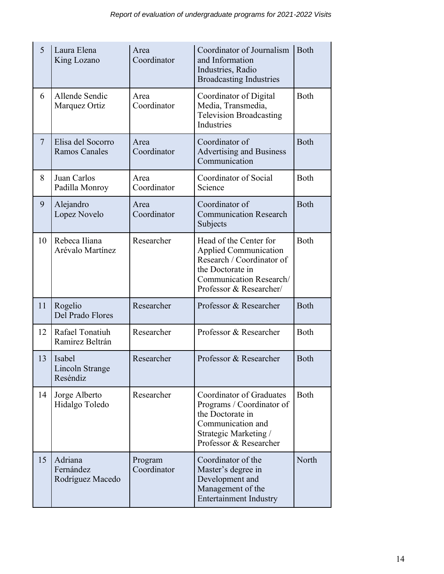| 5              | Laura Elena<br>King Lozano                | Area<br>Coordinator    | Coordinator of Journalism<br>and Information<br>Industries, Radio<br><b>Broadcasting Industries</b>                                                           | <b>Both</b> |
|----------------|-------------------------------------------|------------------------|---------------------------------------------------------------------------------------------------------------------------------------------------------------|-------------|
| 6              | Allende Sendic<br>Marquez Ortiz           | Area<br>Coordinator    | Coordinator of Digital<br>Media, Transmedia,<br><b>Television Broadcasting</b><br>Industries                                                                  | <b>Both</b> |
| $\overline{7}$ | Elisa del Socorro<br><b>Ramos Canales</b> | Area<br>Coordinator    | Coordinator of<br>Advertising and Business<br>Communication                                                                                                   | <b>Both</b> |
| 8              | Juan Carlos<br>Padilla Monroy             | Area<br>Coordinator    | Coordinator of Social<br>Science                                                                                                                              | <b>Both</b> |
| 9              | Alejandro<br>Lopez Novelo                 | Area<br>Coordinator    | Coordinator of<br><b>Communication Research</b><br>Subjects                                                                                                   | <b>Both</b> |
| 10             | Rebeca Iliana<br>Arévalo Martínez         | Researcher             | Head of the Center for<br><b>Applied Communication</b><br>Research / Coordinator of<br>the Doctorate in<br>Communication Research/<br>Professor & Researcher/ | <b>Both</b> |
| 11             | Rogelio<br>Del Prado Flores               | Researcher             | Professor & Researcher                                                                                                                                        | <b>Both</b> |
| 12             | Rafael Tonatiuh<br>Ramirez Beltrán        | Researcher             | Professor & Researcher                                                                                                                                        | <b>Both</b> |
| 13             | Isabel<br>Lincoln Strange<br>Reséndiz     | Researcher             | Professor & Researcher                                                                                                                                        | <b>Both</b> |
| 14             | Jorge Alberto<br>Hidalgo Toledo           | Researcher             | Coordinator of Graduates<br>Programs / Coordinator of<br>the Doctorate in<br>Communication and<br>Strategic Marketing /<br>Professor & Researcher             | <b>Both</b> |
| 15             | Adriana<br>Fernández<br>Rodríguez Macedo  | Program<br>Coordinator | Coordinator of the<br>Master's degree in<br>Development and<br>Management of the<br><b>Entertainment Industry</b>                                             | North       |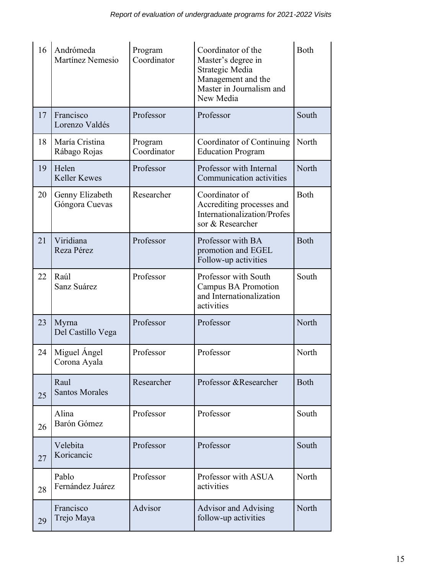| 16 | Andrómeda<br>Martínez Nemesio     | Program<br>Coordinator | Coordinator of the<br>Master's degree in<br>Strategic Media<br>Management and the<br>Master in Journalism and<br>New Media | Both        |
|----|-----------------------------------|------------------------|----------------------------------------------------------------------------------------------------------------------------|-------------|
| 17 | Francisco<br>Lorenzo Valdés       | Professor              | Professor                                                                                                                  | South       |
| 18 | María Cristina<br>Rábago Rojas    | Program<br>Coordinator | Coordinator of Continuing<br><b>Education Program</b>                                                                      | North       |
| 19 | Helen<br><b>Keller Kewes</b>      | Professor              | Professor with Internal<br>Communication activities                                                                        | North       |
| 20 | Genny Elizabeth<br>Góngora Cuevas | Researcher             | Coordinator of<br>Accrediting processes and<br>Internationalization/Profes<br>sor & Researcher                             | <b>Both</b> |
| 21 | Viridiana<br>Reza Pérez           | Professor              | Professor with BA<br>promotion and EGEL<br>Follow-up activities                                                            | <b>Both</b> |
| 22 | Raúl<br>Sanz Suárez               | Professor              | Professor with South<br>Campus BA Promotion<br>and Internationalization<br>activities                                      | South       |
| 23 | Myrna<br>Del Castillo Vega        | Professor              | Professor                                                                                                                  | North       |
| 24 | Miguel Angel<br>Corona Ayala      | Professor              | Professor                                                                                                                  | North       |
| 25 | Raul<br><b>Santos Morales</b>     | Researcher             | Professor & Researcher                                                                                                     | <b>Both</b> |
| 26 | Alina<br>Barón Gómez              | Professor              | Professor                                                                                                                  | South       |
| 27 | Velebita<br>Koricancic            | Professor              | Professor                                                                                                                  | South       |
| 28 | Pablo<br>Fernández Juárez         | Professor              | Professor with ASUA<br>activities                                                                                          | North       |
| 29 | Francisco<br>Trejo Maya           | Advisor                | <b>Advisor and Advising</b><br>follow-up activities                                                                        | North       |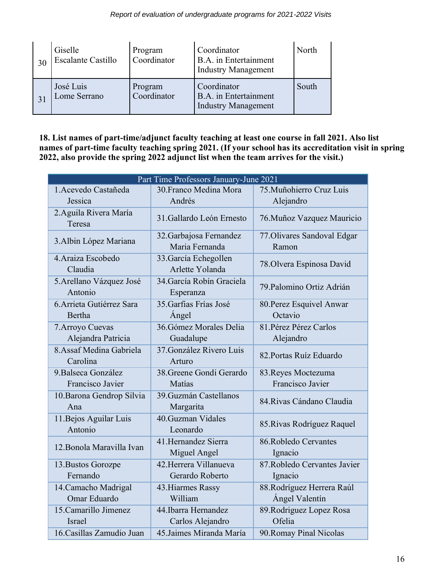| 30 | Giselle<br><b>Escalante Castillo</b> | Program<br>Coordinator | Coordinator<br>B.A. in Entertainment<br><b>Industry Management</b>        | North |
|----|--------------------------------------|------------------------|---------------------------------------------------------------------------|-------|
|    | José Luis<br>Lome Serrano            | Program<br>Coordinator | Coordinator<br><b>B.A.</b> in Entertainment<br><b>Industry Management</b> | South |

**18. List names of part-time/adjunct faculty teaching at least one course in fall 2021. Also list names of part-time faculty teaching spring 2021. (If your school has its accreditation visit in spring 2022, also provide the spring 2022 adjunct list when the team arrives for the visit.)**

| Part Time Professors January-June 2021  |                                           |                                              |  |  |
|-----------------------------------------|-------------------------------------------|----------------------------------------------|--|--|
| 1. Acevedo Castañeda<br>Jessica         | 30. Franco Medina Mora<br>Andrés          | 75. Muñohierro Cruz Luis<br>Alejandro        |  |  |
| 2. Aguila Rivera María<br>Teresa        | 31. Gallardo León Ernesto                 | 76. Muñoz Vazquez Mauricio                   |  |  |
| 3. Albin López Mariana                  | 32. Garbajosa Fernandez<br>Maria Fernanda | 77. Olivares Sandoval Edgar<br>Ramon         |  |  |
| 4. Araiza Escobedo<br>Claudia           | 33. García Echegollen<br>Arlette Yolanda  | 78. Olvera Espinosa David                    |  |  |
| 5. Arellano Vázquez José<br>Antonio     | 34. García Robín Graciela<br>Esperanza    | 79. Palomino Ortiz Adrián                    |  |  |
| 6. Arrieta Gutiérrez Sara<br>Bertha     | 35. Garfias Frías José<br>Ángel           | 80. Perez Esquivel Anwar<br>Octavio          |  |  |
| 7. Arroyo Cuevas<br>Alejandra Patricia  | 36. Gómez Morales Delia<br>Guadalupe      | 81. Pérez Pérez Carlos<br>Alejandro          |  |  |
| 8. Assaf Medina Gabriela<br>Carolina    | 37. González Rivero Luis<br>Arturo        | 82. Portas Ruíz Eduardo                      |  |  |
| 9. Balseca González<br>Francisco Javier | 38. Greene Gondi Gerardo<br><b>Matías</b> | 83. Reyes Moctezuma<br>Francisco Javier      |  |  |
| 10. Barona Gendrop Silvia<br>Ana        | 39. Guzmán Castellanos<br>Margarita       | 84. Rivas Cándano Claudia                    |  |  |
| 11. Bejos Aguilar Luis<br>Antonio       | 40.Guzman Vidales<br>Leonardo             | 85. Rivas Rodríguez Raquel                   |  |  |
| 12. Bonola Maravilla Ivan               | 41. Hernandez Sierra<br>Miguel Angel      | 86. Robledo Cervantes<br>Ignacio             |  |  |
| 13. Bustos Gorozpe<br>Fernando          | 42. Herrera Villanueva<br>Gerardo Roberto | 87. Robledo Cervantes Javier<br>Ignacio      |  |  |
| 14. Camacho Madrigal<br>Omar Eduardo    | 43. Hiarmes Rassy<br>William              | 88. Rodríguez Herrera Raúl<br>Ángel Valentín |  |  |
| 15. Camarillo Jimenez<br><b>Israel</b>  | 44. Ibarra Hernandez<br>Carlos Alejandro  | 89. Rodriguez Lopez Rosa<br>Ofelia           |  |  |
| 16. Casillas Zamudio Juan               | 45. Jaimes Miranda María                  | 90. Romay Pinal Nicolas                      |  |  |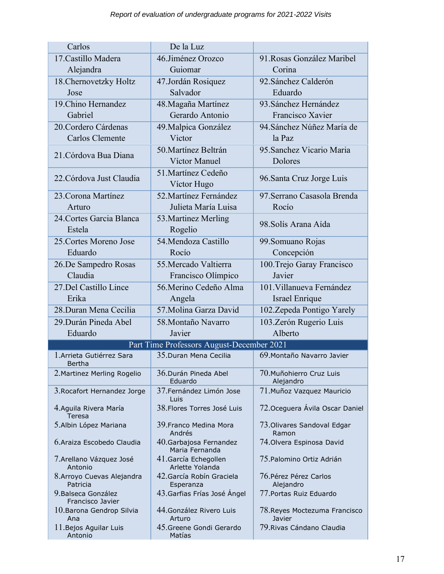| Carlos                                  | De la Luz                                 |                                         |
|-----------------------------------------|-------------------------------------------|-----------------------------------------|
| 17. Castillo Madera                     | 46.Jiménez Orozco                         | 91. Rosas González Maribel              |
| Alejandra                               | Guiomar                                   | Corina                                  |
| 18. Chernovetzky Holtz                  | 47.Jordán Rosiquez                        | 92. Sánchez Calderón                    |
| Jose                                    | Salvador                                  | Eduardo                                 |
| 19. Chino Hernandez                     | 48. Magaña Martínez                       | 93. Sánchez Hernández                   |
| Gabriel                                 | Gerardo Antonio                           | Francisco Xavier                        |
| 20. Cordero Cárdenas                    | 49. Malpica González                      | 94. Sánchez Núñez María de              |
| Carlos Clemente                         | Victor                                    | la Paz                                  |
| 21. Córdova Bua Diana                   | 50. Martínez Beltrán                      | 95. Sanchez Vicario Maria               |
|                                         | Víctor Manuel                             | Dolores                                 |
| 22. Córdova Just Claudia                | 51. Martínez Cedeño                       | 96. Santa Cruz Jorge Luis               |
|                                         | Víctor Hugo                               |                                         |
| 23. Corona Martínez                     | 52. Martínez Fernández                    | 97. Serrano Casasola Brenda             |
| Arturo                                  | Julieta María Luisa                       | Rocío                                   |
| 24. Cortes Garcia Blanca                | 53. Martinez Merling                      | 98. Solís Arana Aída                    |
| Estela                                  | Rogelio                                   |                                         |
| 25. Cortes Moreno Jose                  | 54. Mendoza Castillo                      | 99. Somuano Rojas                       |
| Eduardo                                 | Rocío                                     | Concepción                              |
| 26.De Sampedro Rosas                    | 55. Mercado Valtierra                     | 100. Trejo Garay Francisco              |
| Claudia                                 | Francisco Olímpico                        | Javier                                  |
| 27. Del Castillo Lince                  | 56. Merino Cedeño Alma                    | 101. Villanueva Fernández               |
| Erika                                   | Angela                                    | Israel Enrique                          |
| 28. Duran Mena Cecilia                  | 57. Molina Garza David                    | 102. Zepeda Pontigo Yarely              |
| 29. Durán Pineda Abel                   | 58. Montaño Navarro                       | 103. Zerón Rugerio Luis                 |
| Eduardo                                 | Javier                                    | Alberto                                 |
|                                         | Part Time Professors August-December 2021 |                                         |
| 1. Arrieta Gutiérrez Sara<br>Bertha     | 35. Duran Mena Cecilia                    | 69. Montaño Navarro Javier              |
| 2. Martinez Merling Rogelio             | 36. Durán Pineda Abel<br>Eduardo          | 70. Muñohierro Cruz Luis<br>Alejandro   |
| 3. Rocafort Hernandez Jorge             | 37. Fernández Limón Jose<br>Luis          | 71. Muñoz Vazquez Mauricio              |
| 4. Aguila Rivera María<br>Teresa        | 38. Flores Torres José Luis               | 72. Oceguera Ávila Oscar Daniel         |
| 5.Albin López Mariana                   | 39. Franco Medina Mora<br>Andrés          | 73. Olivares Sandoval Edgar<br>Ramon    |
| 6. Araiza Escobedo Claudia              | 40. Garbajosa Fernandez<br>Maria Fernanda | 74. Olvera Espinosa David               |
| 7. Arellano Vázquez José<br>Antonio     | 41. García Echegollen<br>Arlette Yolanda  | 75. Palomino Ortiz Adrián               |
| 8. Arroyo Cuevas Alejandra<br>Patricia  | 42. García Robín Graciela<br>Esperanza    | 76. Pérez Pérez Carlos<br>Alejandro     |
| 9. Balseca González<br>Francisco Javier | 43. Garfias Frías José Ángel              | 77. Portas Ruiz Eduardo                 |
| 10. Barona Gendrop Silvia<br>Ana        | 44. González Rivero Luis<br>Arturo        | 78. Reyes Moctezuma Francisco<br>Javier |
| 11. Bejos Aguilar Luis<br>Antonio       | 45. Greene Gondi Gerardo<br>Matías        | 79. Rivas Cándano Claudia               |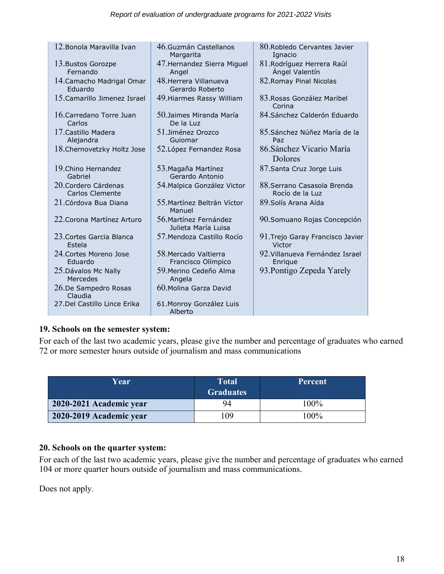| 12. Bonola Maravilla Ivan                     | 46. Guzmán Castellanos<br>Margarita           | 80. Robledo Cervantes Javier<br>Ignacio        |
|-----------------------------------------------|-----------------------------------------------|------------------------------------------------|
| 13. Bustos Gorozpe<br>Fernando                | 47. Hernandez Sierra Miguel<br>Angel          | 81. Rodríguez Herrera Raúl<br>Angel Valentín   |
| 14. Camacho Madrigal Omar<br>Eduardo          | 48. Herrera Villanueva<br>Gerardo Roberto     | 82. Romay Pinal Nicolas                        |
| 15. Camarillo Jimenez Israel                  | 49. Hiarmes Rassy William                     | 83. Rosas González Maribel<br>Corina           |
| 16 Carredano Torre Juan<br>Carlos             | 50 Jaimes Miranda María<br>De la Luz          | 84. Sánchez Calderón Eduardo                   |
| 17 Castillo Madera<br>Alejandra               | 51 Jiménez Orozco<br>Guiomar                  | 85. Sánchez Núñez María de la<br>Paz           |
| 18. Chernovetzky Holtz Jose                   | 52. López Fernandez Rosa                      | 86. Sánchez Vicario María<br>Dolores           |
| 19. Chino Hernandez<br>Gabriel                | 53. Magaña Martínez<br>Gerardo Antonio        | 87. Santa Cruz Jorge Luis                      |
| 20 Cordero Cárdenas<br><b>Carlos Clemente</b> | 54. Malpica González Victor                   | 88. Serrano Casasola Brenda<br>Rocío de la Luz |
| 21 Córdova Bua Diana                          | 55. Martínez Beltrán Víctor<br>Manuel         | 89. Solís Arana Aída                           |
| 22. Corona Martínez Arturo                    | 56. Martínez Fernández<br>Julieta María Luisa | 90. Somuano Rojas Concepción                   |
| 23 Cortes Garcia Blanca<br>Estela             | 57. Mendoza Castillo Rocío                    | 91. Trejo Garay Francisco Javier<br>Victor     |
| 24. Cortes Moreno Jose<br>Eduardo             | 58 Mercado Valtierra<br>Francisco Olímpico    | 92. Villanueva Fernández Israel<br>Enrigue     |
| 25. Dávalos Mc Nally<br>Mercedes              | 59. Merino Cedeño Alma<br>Angela              | 93. Pontigo Zepeda Yarely                      |
| 26.De Sampedro Rosas<br>Claudia               | 60 Molina Garza David                         |                                                |
| 27.Del Castillo Lince Erika                   | 61. Monroy González Luis<br>Alberto           |                                                |

# **19. Schools on the semester system:**

For each of the last two academic years, please give the number and percentage of graduates who earned 72 or more semester hours outside of journalism and mass communications

| Year                    | <b>Total</b><br><b>Graduates</b> | <b>Percent</b> |
|-------------------------|----------------------------------|----------------|
| 2020-2021 Academic year | 94                               | $100\%$        |
| 2020-2019 Academic year | 109                              | 100%           |

# **20. Schools on the quarter system:**

For each of the last two academic years, please give the number and percentage of graduates who earned 104 or more quarter hours outside of journalism and mass communications.

Does not apply.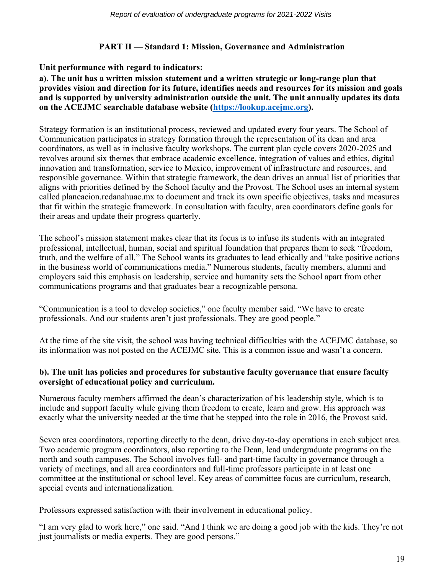# **PART II — Standard 1: Mission, Governance and Administration**

## **Unit performance with regard to indicators:**

**a). The unit has a written mission statement and a written strategic or long-range plan that provides vision and direction for its future, identifies needs and resources for its mission and goals and is supported by university administration outside the unit. The unit annually updates its data on the ACEJMC searchable database website [\(https://lookup.acejmc.org\)](https://lookup.acejmc.org/).**

Strategy formation is an institutional process, reviewed and updated every four years. The School of Communication participates in strategy formation through the representation of its dean and area coordinators, as well as in inclusive faculty workshops. The current plan cycle covers 2020-2025 and revolves around six themes that embrace academic excellence, integration of values and ethics, digital innovation and transformation, service to Mexico, improvement of infrastructure and resources, and responsible governance. Within that strategic framework, the dean drives an annual list of priorities that aligns with priorities defined by the School faculty and the Provost. The School uses an internal system called planeacion.redanahuac.mx to document and track its own specific objectives, tasks and measures that fit within the strategic framework. In consultation with faculty, area coordinators define goals for their areas and update their progress quarterly.

The school's mission statement makes clear that its focus is to infuse its students with an integrated professional, intellectual, human, social and spiritual foundation that prepares them to seek "freedom, truth, and the welfare of all." The School wants its graduates to lead ethically and "take positive actions in the business world of communications media." Numerous students, faculty members, alumni and employers said this emphasis on leadership, service and humanity sets the School apart from other communications programs and that graduates bear a recognizable persona.

"Communication is a tool to develop societies," one faculty member said. "We have to create professionals. And our students aren't just professionals. They are good people."

At the time of the site visit, the school was having technical difficulties with the ACEJMC database, so its information was not posted on the ACEJMC site. This is a common issue and wasn't a concern.

## **b). The unit has policies and procedures for substantive faculty governance that ensure faculty oversight of educational policy and curriculum.**

Numerous faculty members affirmed the dean's characterization of his leadership style, which is to include and support faculty while giving them freedom to create, learn and grow. His approach was exactly what the university needed at the time that he stepped into the role in 2016, the Provost said.

Seven area coordinators, reporting directly to the dean, drive day-to-day operations in each subject area. Two academic program coordinators, also reporting to the Dean, lead undergraduate programs on the north and south campuses. The School involves full- and part-time faculty in governance through a variety of meetings, and all area coordinators and full-time professors participate in at least one committee at the institutional or school level. Key areas of committee focus are curriculum, research, special events and internationalization.

Professors expressed satisfaction with their involvement in educational policy.

"I am very glad to work here," one said. "And I think we are doing a good job with the kids. They're not just journalists or media experts. They are good persons."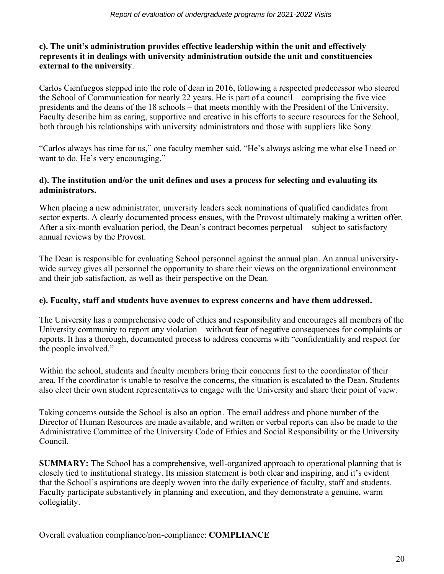## **c). The unit's administration provides effective leadership within the unit and effectively represents it in dealings with university administration outside the unit and constituencies external to the university**.

Carlos Cienfuegos stepped into the role of dean in 2016, following a respected predecessor who steered the School of Communication for nearly 22 years. He is part of a council – comprising the five vice presidents and the deans of the 18 schools – that meets monthly with the President of the University. Faculty describe him as caring, supportive and creative in his efforts to secure resources for the School, both through his relationships with university administrators and those with suppliers like Sony.

"Carlos always has time for us," one faculty member said. "He's always asking me what else I need or want to do. He's very encouraging."

# **d). The institution and/or the unit defines and uses a process for selecting and evaluating its administrators.**

When placing a new administrator, university leaders seek nominations of qualified candidates from sector experts. A clearly documented process ensues, with the Provost ultimately making a written offer. After a six-month evaluation period, the Dean's contract becomes perpetual – subject to satisfactory annual reviews by the Provost.

The Dean is responsible for evaluating School personnel against the annual plan. An annual universitywide survey gives all personnel the opportunity to share their views on the organizational environment and their job satisfaction, as well as their perspective on the Dean.

# **e). Faculty, staff and students have avenues to express concerns and have them addressed.**

The University has a comprehensive code of ethics and responsibility and encourages all members of the University community to report any violation – without fear of negative consequences for complaints or reports. It has a thorough, documented process to address concerns with "confidentiality and respect for the people involved."

Within the school, students and faculty members bring their concerns first to the coordinator of their area. If the coordinator is unable to resolve the concerns, the situation is escalated to the Dean. Students also elect their own student representatives to engage with the University and share their point of view.

Taking concerns outside the School is also an option. The email address and phone number of the Director of Human Resources are made available, and written or verbal reports can also be made to the Administrative Committee of the University Code of Ethics and Social Responsibility or the University Council.

**SUMMARY:** The School has a comprehensive, well-organized approach to operational planning that is closely tied to institutional strategy. Its mission statement is both clear and inspiring, and it's evident that the School's aspirations are deeply woven into the daily experience of faculty, staff and students. Faculty participate substantively in planning and execution, and they demonstrate a genuine, warm collegiality.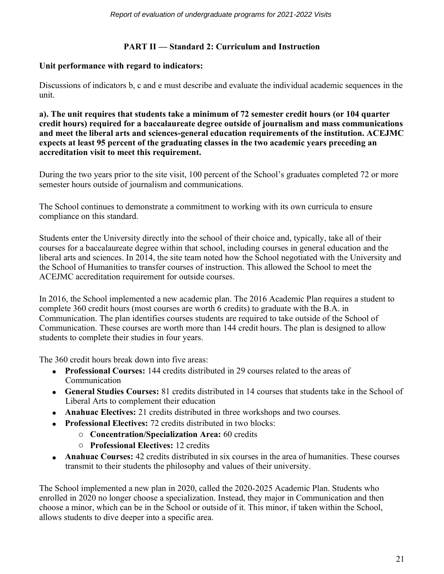# **PART II — Standard 2: Curriculum and Instruction**

# **Unit performance with regard to indicators:**

Discussions of indicators b, c and e must describe and evaluate the individual academic sequences in the unit.

**a). The unit requires that students take a minimum of 72 semester credit hours (or 104 quarter credit hours) required for a baccalaureate degree outside of journalism and mass communications and meet the liberal arts and sciences-general education requirements of the institution. ACEJMC expects at least 95 percent of the graduating classes in the two academic years preceding an accreditation visit to meet this requirement.**

During the two years prior to the site visit, 100 percent of the School's graduates completed 72 or more semester hours outside of journalism and communications.

The School continues to demonstrate a commitment to working with its own curricula to ensure compliance on this standard.

Students enter the University directly into the school of their choice and, typically, take all of their courses for a baccalaureate degree within that school, including courses in general education and the liberal arts and sciences. In 2014, the site team noted how the School negotiated with the University and the School of Humanities to transfer courses of instruction. This allowed the School to meet the ACEJMC accreditation requirement for outside courses.

In 2016, the School implemented a new academic plan. The 2016 Academic Plan requires a student to complete 360 credit hours (most courses are worth 6 credits) to graduate with the B.A. in Communication. The plan identifies courses students are required to take outside of the School of Communication. These courses are worth more than 144 credit hours. The plan is designed to allow students to complete their studies in four years.

The 360 credit hours break down into five areas:

- **Professional Courses:** 144 credits distributed in 29 courses related to the areas of Communication
- **General Studies Courses:** 81 credits distributed in 14 courses that students take in the School of Liberal Arts to complement their education
- **Anahuac Electives:** 21 credits distributed in three workshops and two courses.
- • **Professional Electives:** 72 credits distributed in two blocks:
	- o **Concentration/Specialization Area:** 60 credits
	- o **Professional Electives:** 12 credits
- **Anahuac Courses:** 42 credits distributed in six courses in the area of humanities. These courses transmit to their students the philosophy and values of their university.

The School implemented a new plan in 2020, called the 2020-2025 Academic Plan. Students who enrolled in 2020 no longer choose a specialization. Instead, they major in Communication and then choose a minor, which can be in the School or outside of it. This minor, if taken within the School, allows students to dive deeper into a specific area.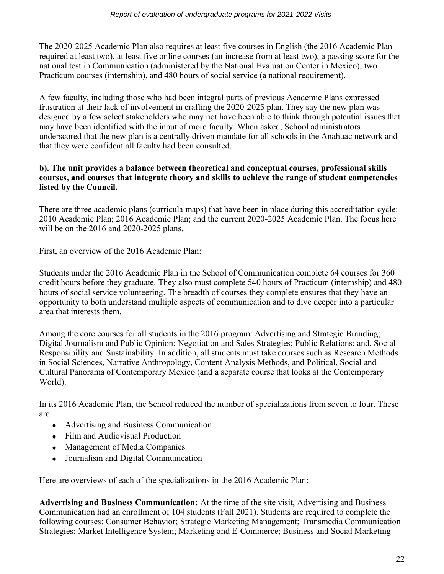The 2020-2025 Academic Plan also requires at least five courses in English (the 2016 Academic Plan required at least two), at least five online courses (an increase from at least two), a passing score for the national test in Communication (administered by the National Evaluation Center in Mexico), two Practicum courses (internship), and 480 hours of social service (a national requirement).

A few faculty, including those who had been integral parts of previous Academic Plans expressed frustration at their lack of involvement in crafting the 2020-2025 plan. They say the new plan was designed by a few select stakeholders who may not have been able to think through potential issues that may have been identified with the input of more faculty. When asked, School administrators underscored that the new plan is a centrally driven mandate for all schools in the Anahuac network and that they were confident all faculty had been consulted.

## **b). The unit provides a balance between theoretical and conceptual courses, professional skills courses, and courses that integrate theory and skills to achieve the range of student competencies listed by the Council.**

There are three academic plans (curricula maps) that have been in place during this accreditation cycle: 2010 Academic Plan; 2016 Academic Plan; and the current 2020-2025 Academic Plan. The focus here will be on the 2016 and 2020-2025 plans.

First, an overview of the 2016 Academic Plan:

Students under the 2016 Academic Plan in the School of Communication complete 64 courses for 360 credit hours before they graduate. They also must complete 540 hours of Practicum (internship) and 480 hours of social service volunteering. The breadth of courses they complete ensures that they have an opportunity to both understand multiple aspects of communication and to dive deeper into a particular area that interests them.

Among the core courses for all students in the 2016 program: Advertising and Strategic Branding; Digital Journalism and Public Opinion; Negotiation and Sales Strategies; Public Relations; and, Social Responsibility and Sustainability. In addition, all students must take courses such as Research Methods in Social Sciences, Narrative Anthropology, Content Analysis Methods, and Political, Social and Cultural Panorama of Contemporary Mexico (and a separate course that looks at the Contemporary World).

In its 2016 Academic Plan, the School reduced the number of specializations from seven to four. These are:

- Advertising and Business Communication
- Film and Audiovisual Production
- Management of Media Companies
- Journalism and Digital Communication

Here are overviews of each of the specializations in the 2016 Academic Plan:

**Advertising and Business Communication:** At the time of the site visit, Advertising and Business Communication had an enrollment of 104 students (Fall 2021). Students are required to complete the following courses: Consumer Behavior; Strategic Marketing Management; Transmedia Communication Strategies; Market Intelligence System; Marketing and E-Commerce; Business and Social Marketing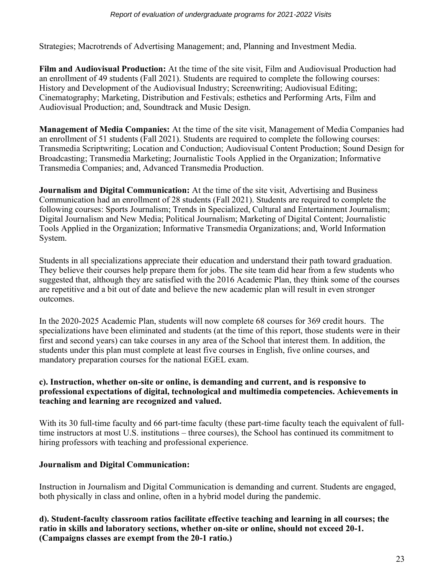Strategies; Macrotrends of Advertising Management; and, Planning and Investment Media.

**Film and Audiovisual Production:** At the time of the site visit, Film and Audiovisual Production had an enrollment of 49 students (Fall 2021). Students are required to complete the following courses: History and Development of the Audiovisual Industry; Screenwriting; Audiovisual Editing; Cinematography; Marketing, Distribution and Festivals; esthetics and Performing Arts, Film and Audiovisual Production; and, Soundtrack and Music Design.

**Management of Media Companies:** At the time of the site visit, Management of Media Companies had an enrollment of 51 students (Fall 2021). Students are required to complete the following courses: Transmedia Scriptwriting; Location and Conduction; Audiovisual Content Production; Sound Design for Broadcasting; Transmedia Marketing; Journalistic Tools Applied in the Organization; Informative Transmedia Companies; and, Advanced Transmedia Production.

**Journalism and Digital Communication:** At the time of the site visit, Advertising and Business Communication had an enrollment of 28 students (Fall 2021). Students are required to complete the following courses: Sports Journalism; Trends in Specialized, Cultural and Entertainment Journalism; Digital Journalism and New Media; Political Journalism; Marketing of Digital Content; Journalistic Tools Applied in the Organization; Informative Transmedia Organizations; and, World Information System.

Students in all specializations appreciate their education and understand their path toward graduation. They believe their courses help prepare them for jobs. The site team did hear from a few students who suggested that, although they are satisfied with the 2016 Academic Plan, they think some of the courses are repetitive and a bit out of date and believe the new academic plan will result in even stronger outcomes.

In the 2020-2025 Academic Plan, students will now complete 68 courses for 369 credit hours. The specializations have been eliminated and students (at the time of this report, those students were in their first and second years) can take courses in any area of the School that interest them. In addition, the students under this plan must complete at least five courses in English, five online courses, and mandatory preparation courses for the national EGEL exam.

# **c). Instruction, whether on-site or online, is demanding and current, and is responsive to professional expectations of digital, technological and multimedia competencies. Achievements in teaching and learning are recognized and valued.**

With its 30 full-time faculty and 66 part-time faculty (these part-time faculty teach the equivalent of fulltime instructors at most U.S. institutions – three courses), the School has continued its commitment to hiring professors with teaching and professional experience.

# **Journalism and Digital Communication:**

Instruction in Journalism and Digital Communication is demanding and current. Students are engaged, both physically in class and online, often in a hybrid model during the pandemic.

**d). Student-faculty classroom ratios facilitate effective teaching and learning in all courses; the ratio in skills and laboratory sections, whether on-site or online, should not exceed 20-1. (Campaigns classes are exempt from the 20-1 ratio.)**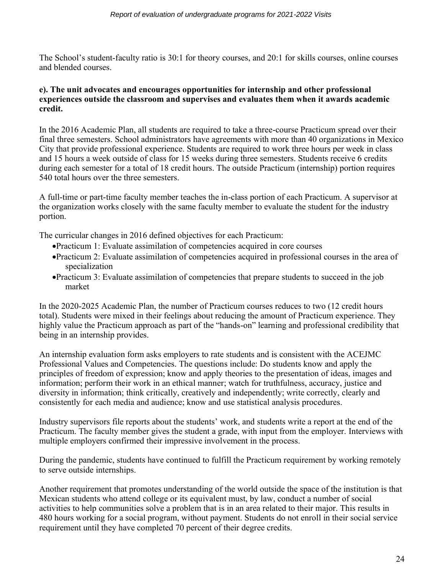The School's student-faculty ratio is 30:1 for theory courses, and 20:1 for skills courses, online courses and blended courses.

#### **e). The unit advocates and encourages opportunities for internship and other professional experiences outside the classroom and supervises and evaluates them when it awards academic credit.**

In the 2016 Academic Plan, all students are required to take a three-course Practicum spread over their final three semesters. School administrators have agreements with more than 40 organizations in Mexico City that provide professional experience. Students are required to work three hours per week in class and 15 hours a week outside of class for 15 weeks during three semesters. Students receive 6 credits during each semester for a total of 18 credit hours. The outside Practicum (internship) portion requires 540 total hours over the three semesters.

A full-time or part-time faculty member teaches the in-class portion of each Practicum. A supervisor at the organization works closely with the same faculty member to evaluate the student for the industry portion.

The curricular changes in 2016 defined objectives for each Practicum:

- •Practicum 1: Evaluate assimilation of competencies acquired in core courses
- •Practicum 2: Evaluate assimilation of competencies acquired in professional courses in the area of specialization
- •Practicum 3: Evaluate assimilation of competencies that prepare students to succeed in the job market

In the 2020-2025 Academic Plan, the number of Practicum courses reduces to two (12 credit hours total). Students were mixed in their feelings about reducing the amount of Practicum experience. They highly value the Practicum approach as part of the "hands-on" learning and professional credibility that being in an internship provides.

An internship evaluation form asks employers to rate students and is consistent with the ACEJMC Professional Values and Competencies. The questions include: Do students know and apply the principles of freedom of expression; know and apply theories to the presentation of ideas, images and information; perform their work in an ethical manner; watch for truthfulness, accuracy, justice and diversity in information; think critically, creatively and independently; write correctly, clearly and consistently for each media and audience; know and use statistical analysis procedures.

Industry supervisors file reports about the students' work, and students write a report at the end of the Practicum. The faculty member gives the student a grade, with input from the employer. Interviews with multiple employers confirmed their impressive involvement in the process.

During the pandemic, students have continued to fulfill the Practicum requirement by working remotely to serve outside internships.

Another requirement that promotes understanding of the world outside the space of the institution is that Mexican students who attend college or its equivalent must, by law, conduct a number of social activities to help communities solve a problem that is in an area related to their major. This results in 480 hours working for a social program, without payment. Students do not enroll in their social service requirement until they have completed 70 percent of their degree credits.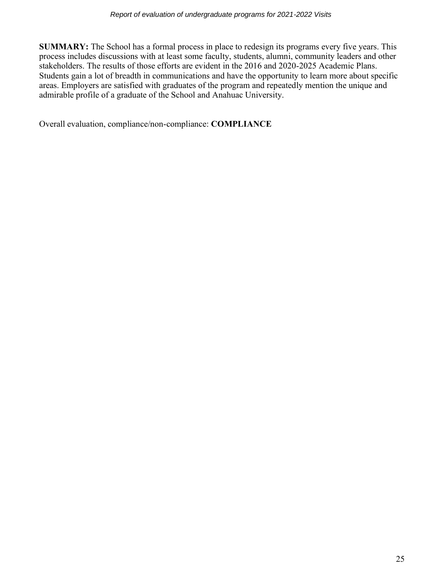**SUMMARY:** The School has a formal process in place to redesign its programs every five years. This process includes discussions with at least some faculty, students, alumni, community leaders and other stakeholders. The results of those efforts are evident in the 2016 and 2020-2025 Academic Plans. Students gain a lot of breadth in communications and have the opportunity to learn more about specific areas. Employers are satisfied with graduates of the program and repeatedly mention the unique and admirable profile of a graduate of the School and Anahuac University.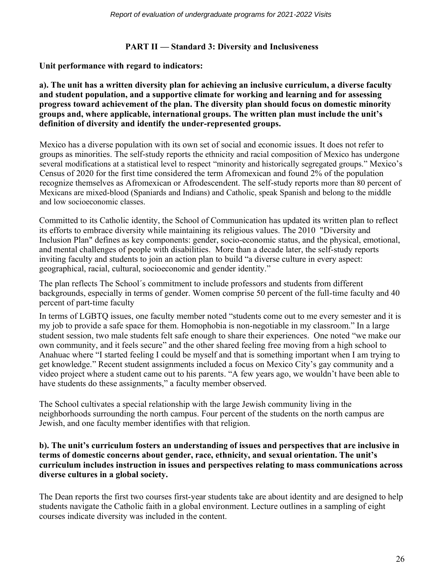# **PART II — Standard 3: Diversity and Inclusiveness**

**Unit performance with regard to indicators:**

**a). The unit has a written diversity plan for achieving an inclusive curriculum, a diverse faculty and student population, and a supportive climate for working and learning and for assessing progress toward achievement of the plan. The diversity plan should focus on domestic minority groups and, where applicable, international groups. The written plan must include the unit's definition of diversity and identify the under-represented groups.**

Mexico has a diverse population with its own set of social and economic issues. It does not refer to groups as minorities. The self-study reports the ethnicity and racial composition of Mexico has undergone several modifications at a statistical level to respect "minority and historically segregated groups." Mexico's Census of 2020 for the first time considered the term Afromexican and found 2% of the population recognize themselves as Afromexican or Afrodescendent. The self-study reports more than 80 percent of Mexicans are mixed-blood (Spaniards and Indians) and Catholic, speak Spanish and belong to the middle and low socioeconomic classes.

Committed to its Catholic identity, the School of Communication has updated its written plan to reflect its efforts to embrace diversity while maintaining its religious values. The 2010 "Diversity and Inclusion Plan" defines as key components: gender, socio-economic status, and the physical, emotional, and mental challenges of people with disabilities. More than a decade later, the self-study reports inviting faculty and students to join an action plan to build "a diverse culture in every aspect: geographical, racial, cultural, socioeconomic and gender identity."

The plan reflects The School´s commitment to include professors and students from different backgrounds, especially in terms of gender. Women comprise 50 percent of the full-time faculty and 40 percent of part-time faculty

In terms of LGBTQ issues, one faculty member noted "students come out to me every semester and it is my job to provide a safe space for them. Homophobia is non-negotiable in my classroom." In a large student session, two male students felt safe enough to share their experiences. One noted "we make our own community, and it feels secure" and the other shared feeling free moving from a high school to Anahuac where "I started feeling I could be myself and that is something important when I am trying to get knowledge." Recent student assignments included a focus on Mexico City's gay community and a video project where a student came out to his parents. "A few years ago, we wouldn't have been able to have students do these assignments," a faculty member observed.

The School cultivates a special relationship with the large Jewish community living in the neighborhoods surrounding the north campus. Four percent of the students on the north campus are Jewish, and one faculty member identifies with that religion.

#### **b). The unit's curriculum fosters an understanding of issues and perspectives that are inclusive in terms of domestic concerns about gender, race, ethnicity, and sexual orientation. The unit's curriculum includes instruction in issues and perspectives relating to mass communications across diverse cultures in a global society.**

The Dean reports the first two courses first-year students take are about identity and are designed to help students navigate the Catholic faith in a global environment. Lecture outlines in a sampling of eight courses indicate diversity was included in the content.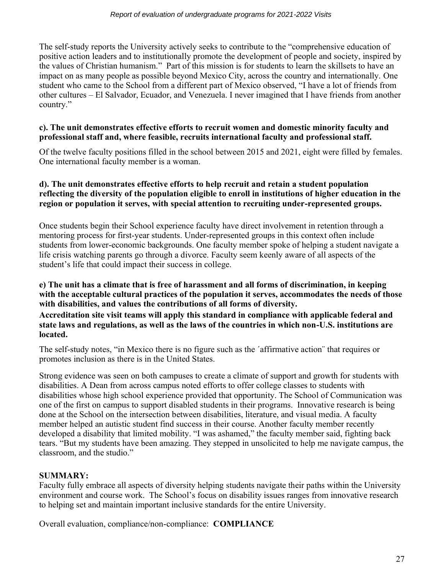#### *Report of evaluation of undergraduate programs for 2021-2022 Visits*

The self-study reports the University actively seeks to contribute to the "comprehensive education of positive action leaders and to institutionally promote the development of people and society, inspired by the values of Christian humanism." Part of this mission is for students to learn the skillsets to have an impact on as many people as possible beyond Mexico City, across the country and internationally. One student who came to the School from a different part of Mexico observed, "I have a lot of friends from other cultures – El Salvador, Ecuador, and Venezuela. I never imagined that I have friends from another country."

#### **c). The unit demonstrates effective efforts to recruit women and domestic minority faculty and professional staff and, where feasible, recruits international faculty and professional staff.**

Of the twelve faculty positions filled in the school between 2015 and 2021, eight were filled by females. One international faculty member is a woman.

#### **d). The unit demonstrates effective efforts to help recruit and retain a student population reflecting the diversity of the population eligible to enroll in institutions of higher education in the region or population it serves, with special attention to recruiting under-represented groups.**

Once students begin their School experience faculty have direct involvement in retention through a mentoring process for first-year students. Under-represented groups in this context often include students from lower-economic backgrounds. One faculty member spoke of helping a student navigate a life crisis watching parents go through a divorce. Faculty seem keenly aware of all aspects of the student's life that could impact their success in college.

#### **e) The unit has a climate that is free of harassment and all forms of discrimination, in keeping with the acceptable cultural practices of the population it serves, accommodates the needs of those with disabilities, and values the contributions of all forms of diversity.**

**Accreditation site visit teams will apply this standard in compliance with applicable federal and state laws and regulations, as well as the laws of the countries in which non-U.S. institutions are located.**

The self-study notes, "in Mexico there is no figure such as the ´affirmative action¨ that requires or promotes inclusion as there is in the United States.

Strong evidence was seen on both campuses to create a climate of support and growth for students with disabilities. A Dean from across campus noted efforts to offer college classes to students with disabilities whose high school experience provided that opportunity. The School of Communication was one of the first on campus to support disabled students in their programs. Innovative research is being done at the School on the intersection between disabilities, literature, and visual media. A faculty member helped an autistic student find success in their course. Another faculty member recently developed a disability that limited mobility. "I was ashamed," the faculty member said, fighting back tears. "But my students have been amazing. They stepped in unsolicited to help me navigate campus, the classroom, and the studio."

# **SUMMARY:**

Faculty fully embrace all aspects of diversity helping students navigate their paths within the University environment and course work. The School's focus on disability issues ranges from innovative research to helping set and maintain important inclusive standards for the entire University.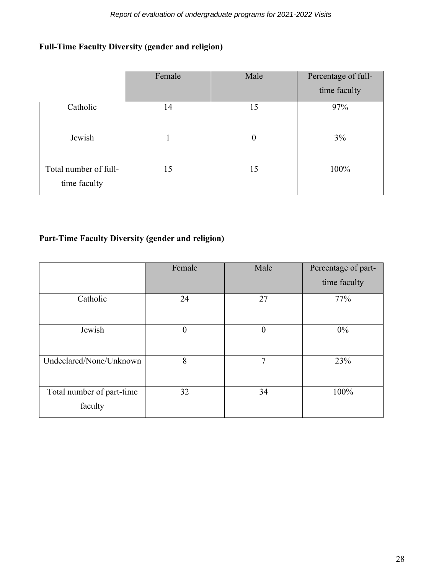# **Full-Time Faculty Diversity (gender and religion)**

|                                       | Female | Male     | Percentage of full- |
|---------------------------------------|--------|----------|---------------------|
|                                       |        |          | time faculty        |
| Catholic                              | 14     | 15       | 97%                 |
| Jewish                                |        | $\theta$ | 3%                  |
| Total number of full-<br>time faculty | 15     | 15       | 100%                |

# **Part-Time Faculty Diversity (gender and religion)**

|                                      | Female         | Male             | Percentage of part- |
|--------------------------------------|----------------|------------------|---------------------|
|                                      |                |                  | time faculty        |
| Catholic                             | 24             | 27               | 77%                 |
| Jewish                               | $\overline{0}$ | $\boldsymbol{0}$ | $0\%$               |
| Undeclared/None/Unknown              | 8              | 7                | 23%                 |
| Total number of part-time<br>faculty | 32             | 34               | 100%                |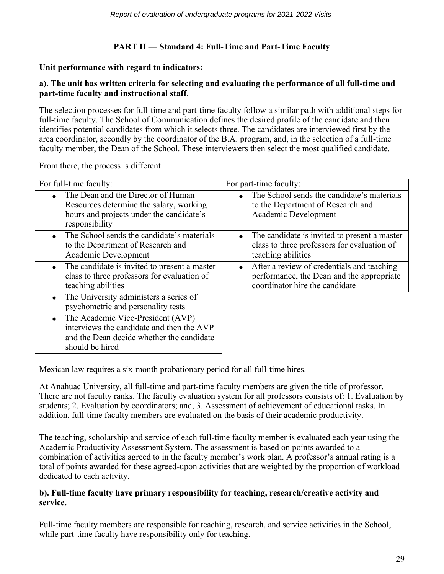# **PART II — Standard 4: Full-Time and Part-Time Faculty**

# **Unit performance with regard to indicators:**

# **a). The unit has written criteria for selecting and evaluating the performance of all full-time and part-time faculty and instructional staff**.

The selection processes for full-time and part-time faculty follow a similar path with additional steps for full-time faculty. The School of Communication defines the desired profile of the candidate and then identifies potential candidates from which it selects three. The candidates are interviewed first by the area coordinator, secondly by the coordinator of the B.A. program, and, in the selection of a full-time faculty member, the Dean of the School. These interviewers then select the most qualified candidate.

From there, the process is different:

| For full-time faculty:                                                                                                                         | For part-time faculty:                                                                                                    |
|------------------------------------------------------------------------------------------------------------------------------------------------|---------------------------------------------------------------------------------------------------------------------------|
| The Dean and the Director of Human<br>Resources determine the salary, working<br>hours and projects under the candidate's<br>responsibility    | The School sends the candidate's materials<br>to the Department of Research and<br>Academic Development                   |
| The School sends the candidate's materials<br>to the Department of Research and<br>Academic Development                                        | The candidate is invited to present a master<br>class to three professors for evaluation of<br>teaching abilities         |
| The candidate is invited to present a master<br>class to three professors for evaluation of<br>teaching abilities                              | After a review of credentials and teaching<br>performance, the Dean and the appropriate<br>coordinator hire the candidate |
| The University administers a series of<br>psychometric and personality tests                                                                   |                                                                                                                           |
| The Academic Vice-President (AVP)<br>interviews the candidate and then the AVP<br>and the Dean decide whether the candidate<br>should be hired |                                                                                                                           |

Mexican law requires a six-month probationary period for all full-time hires.

At Anahuac University, all full-time and part-time faculty members are given the title of professor. There are not faculty ranks. The faculty evaluation system for all professors consists of: 1. Evaluation by students; 2. Evaluation by coordinators; and, 3. Assessment of achievement of educational tasks. In addition, full-time faculty members are evaluated on the basis of their academic productivity.

The teaching, scholarship and service of each full-time faculty member is evaluated each year using the Academic Productivity Assessment System. The assessment is based on points awarded to a combination of activities agreed to in the faculty member's work plan. A professor's annual rating is a total of points awarded for these agreed-upon activities that are weighted by the proportion of workload dedicated to each activity.

# **b). Full-time faculty have primary responsibility for teaching, research/creative activity and service.**

Full-time faculty members are responsible for teaching, research, and service activities in the School, while part-time faculty have responsibility only for teaching.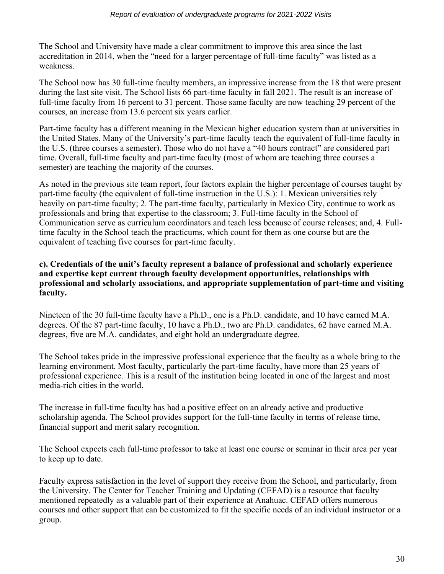The School and University have made a clear commitment to improve this area since the last accreditation in 2014, when the "need for a larger percentage of full-time faculty" was listed as a weakness.

The School now has 30 full-time faculty members, an impressive increase from the 18 that were present during the last site visit. The School lists 66 part-time faculty in fall 2021. The result is an increase of full-time faculty from 16 percent to 31 percent. Those same faculty are now teaching 29 percent of the courses, an increase from 13.6 percent six years earlier.

Part-time faculty has a different meaning in the Mexican higher education system than at universities in the United States. Many of the University's part-time faculty teach the equivalent of full-time faculty in the U.S. (three courses a semester). Those who do not have a "40 hours contract" are considered part time. Overall, full-time faculty and part-time faculty (most of whom are teaching three courses a semester) are teaching the majority of the courses.

As noted in the previous site team report, four factors explain the higher percentage of courses taught by part-time faculty (the equivalent of full-time instruction in the U.S.): 1. Mexican universities rely heavily on part-time faculty; 2. The part-time faculty, particularly in Mexico City, continue to work as professionals and bring that expertise to the classroom; 3. Full-time faculty in the School of Communication serve as curriculum coordinators and teach less because of course releases; and, 4. Fulltime faculty in the School teach the practicums, which count for them as one course but are the equivalent of teaching five courses for part-time faculty.

## **c). Credentials of the unit's faculty represent a balance of professional and scholarly experience and expertise kept current through faculty development opportunities, relationships with professional and scholarly associations, and appropriate supplementation of part-time and visiting faculty.**

Nineteen of the 30 full-time faculty have a Ph.D., one is a Ph.D. candidate, and 10 have earned M.A. degrees. Of the 87 part-time faculty, 10 have a Ph.D., two are Ph.D. candidates, 62 have earned M.A. degrees, five are M.A. candidates, and eight hold an undergraduate degree.

The School takes pride in the impressive professional experience that the faculty as a whole bring to the learning environment. Most faculty, particularly the part-time faculty, have more than 25 years of professional experience. This is a result of the institution being located in one of the largest and most media-rich cities in the world.

The increase in full-time faculty has had a positive effect on an already active and productive scholarship agenda. The School provides support for the full-time faculty in terms of release time, financial support and merit salary recognition.

The School expects each full-time professor to take at least one course or seminar in their area per year to keep up to date.

Faculty express satisfaction in the level of support they receive from the School, and particularly, from the University. The Center for Teacher Training and Updating (CEFAD) is a resource that faculty mentioned repeatedly as a valuable part of their experience at Anahuac. CEFAD offers numerous courses and other support that can be customized to fit the specific needs of an individual instructor or a group.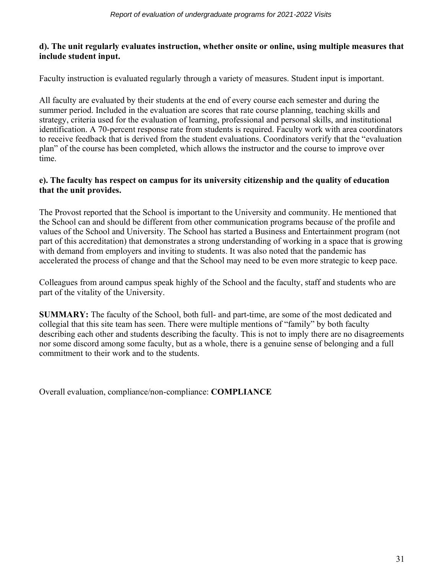## **d). The unit regularly evaluates instruction, whether onsite or online, using multiple measures that include student input.**

Faculty instruction is evaluated regularly through a variety of measures. Student input is important.

All faculty are evaluated by their students at the end of every course each semester and during the summer period. Included in the evaluation are scores that rate course planning, teaching skills and strategy, criteria used for the evaluation of learning, professional and personal skills, and institutional identification. A 70-percent response rate from students is required. Faculty work with area coordinators to receive feedback that is derived from the student evaluations. Coordinators verify that the "evaluation plan" of the course has been completed, which allows the instructor and the course to improve over time.

# **e). The faculty has respect on campus for its university citizenship and the quality of education that the unit provides.**

The Provost reported that the School is important to the University and community. He mentioned that the School can and should be different from other communication programs because of the profile and values of the School and University. The School has started a Business and Entertainment program (not part of this accreditation) that demonstrates a strong understanding of working in a space that is growing with demand from employers and inviting to students. It was also noted that the pandemic has accelerated the process of change and that the School may need to be even more strategic to keep pace.

Colleagues from around campus speak highly of the School and the faculty, staff and students who are part of the vitality of the University.

**SUMMARY:** The faculty of the School, both full- and part-time, are some of the most dedicated and collegial that this site team has seen. There were multiple mentions of "family" by both faculty describing each other and students describing the faculty. This is not to imply there are no disagreements nor some discord among some faculty, but as a whole, there is a genuine sense of belonging and a full commitment to their work and to the students.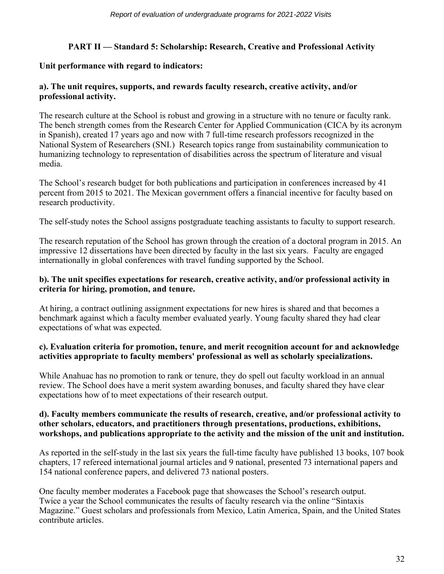# **PART II — Standard 5: Scholarship: Research, Creative and Professional Activity**

# **Unit performance with regard to indicators:**

# **a). The unit requires, supports, and rewards faculty research, creative activity, and/or professional activity.**

The research culture at the School is robust and growing in a structure with no tenure or faculty rank. The bench strength comes from the Research Center for Applied Communication (CICA by its acronym in Spanish), created 17 years ago and now with 7 full-time research professors recognized in the National System of Researchers (SNI.) Research topics range from sustainability communication to humanizing technology to representation of disabilities across the spectrum of literature and visual media.

The School's research budget for both publications and participation in conferences increased by 41 percent from 2015 to 2021. The Mexican government offers a financial incentive for faculty based on research productivity.

The self-study notes the School assigns postgraduate teaching assistants to faculty to support research.

The research reputation of the School has grown through the creation of a doctoral program in 2015. An impressive 12 dissertations have been directed by faculty in the last six years. Faculty are engaged internationally in global conferences with travel funding supported by the School.

## **b). The unit specifies expectations for research, creative activity, and/or professional activity in criteria for hiring, promotion, and tenure.**

At hiring, a contract outlining assignment expectations for new hires is shared and that becomes a benchmark against which a faculty member evaluated yearly. Young faculty shared they had clear expectations of what was expected.

## **c). Evaluation criteria for promotion, tenure, and merit recognition account for and acknowledge activities appropriate to faculty members' professional as well as scholarly specializations.**

While Anahuac has no promotion to rank or tenure, they do spell out faculty workload in an annual review. The School does have a merit system awarding bonuses, and faculty shared they have clear expectations how of to meet expectations of their research output.

#### **d). Faculty members communicate the results of research, creative, and/or professional activity to other scholars, educators, and practitioners through presentations, productions, exhibitions, workshops, and publications appropriate to the activity and the mission of the unit and institution.**

As reported in the self-study in the last six years the full-time faculty have published 13 books, 107 book chapters, 17 refereed international journal articles and 9 national, presented 73 international papers and 154 national conference papers, and delivered 73 national posters.

One faculty member moderates a Facebook page that showcases the School's research output. Twice a year the School communicates the results of faculty research via the online "Sintaxis Magazine." Guest scholars and professionals from Mexico, Latin America, Spain, and the United States contribute articles.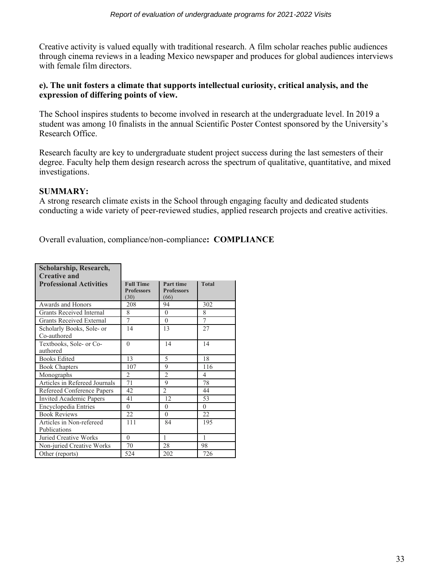Creative activity is valued equally with traditional research. A film scholar reaches public audiences through cinema reviews in a leading Mexico newspaper and produces for global audiences interviews with female film directors.

# **e). The unit fosters a climate that supports intellectual curiosity, critical analysis, and the expression of differing points of view.**

The School inspires students to become involved in research at the undergraduate level. In 2019 a student was among 10 finalists in the annual Scientific Poster Contest sponsored by the University's Research Office.

Research faculty are key to undergraduate student project success during the last semesters of their degree. Faculty help them design research across the spectrum of qualitative, quantitative, and mixed investigations.

# **SUMMARY:**

A strong research climate exists in the School through engaging faculty and dedicated students conducting a wide variety of peer-reviewed studies, applied research projects and creative activities.

| Scholarship, Research,                   |                                               |                                        |                |
|------------------------------------------|-----------------------------------------------|----------------------------------------|----------------|
| <b>Creative and</b>                      |                                               |                                        |                |
| <b>Professional Activities</b>           | <b>Full Time</b><br><b>Professors</b><br>(30) | Part time<br><b>Professors</b><br>(66) | <b>Total</b>   |
| Awards and Honors                        | 208                                           | 94                                     | 302            |
| Grants Received Internal                 | 8                                             | $\theta$                               | 8              |
| <b>Grants Received External</b>          | 7                                             | $\theta$                               | 7              |
| Scholarly Books, Sole- or<br>Co-authored | 14                                            | 13                                     | 27             |
| Textbooks, Sole- or Co-<br>authored      | $\Omega$                                      | 14                                     | 14             |
| <b>Books Edited</b>                      | 13                                            | 5                                      | 18             |
| <b>Book Chapters</b>                     | 107                                           | 9                                      | 116            |
| Monographs                               | $\mathfrak{D}$                                | $\overline{2}$                         | $\overline{4}$ |
| Articles in Refereed Journals            | 71                                            | 9                                      | 78             |
| Refereed Conference Papers               | 42                                            | $\overline{2}$                         | 44             |
| <b>Invited Academic Papers</b>           | 41                                            | 12                                     | 53             |
| Encyclopedia Entries                     | $\Omega$                                      | $\Omega$                               | $\Omega$       |
| <b>Book Reviews</b>                      | 22                                            | $\theta$                               | 22             |
| Articles in Non-refereed                 | 111                                           | 84                                     | 195            |
| Publications                             |                                               |                                        |                |
| Juried Creative Works                    | $\Omega$                                      | 1                                      | 1              |
| Non-juried Creative Works                | 70                                            | 28                                     | 98             |
| Other (reports)                          | 524                                           | 202                                    | 726            |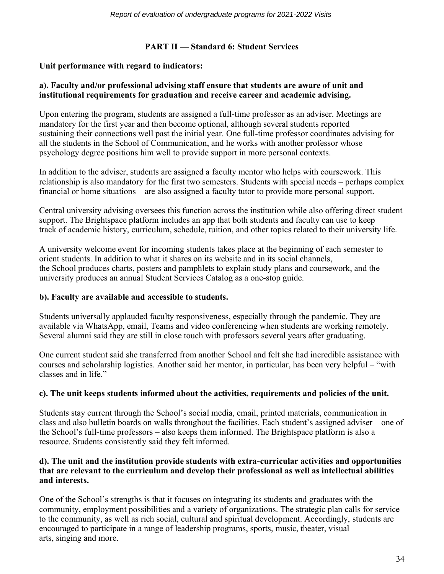# **PART II — Standard 6: Student Services**

#### **Unit performance with regard to indicators:**

#### **a). Faculty and/or professional advising staff ensure that students are aware of unit and institutional requirements for graduation and receive career and academic advising.**

Upon entering the program, students are assigned a full-time professor as an adviser. Meetings are mandatory for the first year and then become optional, although several students reported sustaining their connections well past the initial year. One full-time professor coordinates advising for all the students in the School of Communication, and he works with another professor whose psychology degree positions him well to provide support in more personal contexts.

In addition to the adviser, students are assigned a faculty mentor who helps with coursework. This relationship is also mandatory for the first two semesters. Students with special needs – perhaps complex financial or home situations – are also assigned a faculty tutor to provide more personal support.

Central university advising oversees this function across the institution while also offering direct student support. The Brightspace platform includes an app that both students and faculty can use to keep track of academic history, curriculum, schedule, tuition, and other topics related to their university life.

A university welcome event for incoming students takes place at the beginning of each semester to orient students. In addition to what it shares on its website and in its social channels, the School produces charts, posters and pamphlets to explain study plans and coursework, and the university produces an annual Student Services Catalog as a one-stop guide.

#### **b). Faculty are available and accessible to students.**

Students universally applauded faculty responsiveness, especially through the pandemic. They are available via WhatsApp, email, Teams and video conferencing when students are working remotely. Several alumni said they are still in close touch with professors several years after graduating.

One current student said she transferred from another School and felt she had incredible assistance with courses and scholarship logistics. Another said her mentor, in particular, has been very helpful – "with classes and in life."

# **c). The unit keeps students informed about the activities, requirements and policies of the unit.**

Students stay current through the School's social media, email, printed materials, communication in class and also bulletin boards on walls throughout the facilities. Each student's assigned adviser – one of the School's full-time professors – also keeps them informed. The Brightspace platform is also a resource. Students consistently said they felt informed.

# **d). The unit and the institution provide students with extra-curricular activities and opportunities that are relevant to the curriculum and develop their professional as well as intellectual abilities and interests.**

One of the School's strengths is that it focuses on integrating its students and graduates with the community, employment possibilities and a variety of organizations. The strategic plan calls for service to the community, as well as rich social, cultural and spiritual development. Accordingly, students are encouraged to participate in a range of leadership programs, sports, music, theater, visual arts, singing and more.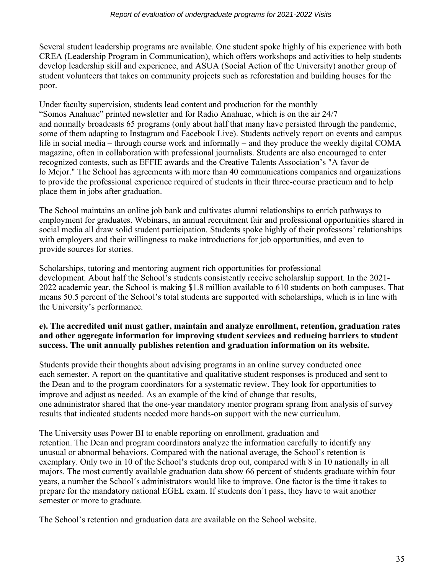Several student leadership programs are available. One student spoke highly of his experience with both CREA (Leadership Program in Communication), which offers workshops and activities to help students develop leadership skill and experience, and ASUA (Social Action of the University) another group of student volunteers that takes on community projects such as reforestation and building houses for the poor.

Under faculty supervision, students lead content and production for the monthly "Somos Anahuac" printed newsletter and for Radio Anahuac, which is on the air 24/7 and normally broadcasts 65 programs (only about half that many have persisted through the pandemic, some of them adapting to Instagram and Facebook Live). Students actively report on events and campus life in social media – through course work and informally – and they produce the weekly digital COMA magazine, often in collaboration with professional journalists. Students are also encouraged to enter recognized contests, such as EFFIE awards and the Creative Talents Association's "A favor de lo Mejor." The School has agreements with more than 40 communications companies and organizations to provide the professional experience required of students in their three-course practicum and to help place them in jobs after graduation.

The School maintains an online job bank and cultivates alumni relationships to enrich pathways to employment for graduates. Webinars, an annual recruitment fair and professional opportunities shared in social media all draw solid student participation. Students spoke highly of their professors' relationships with employers and their willingness to make introductions for job opportunities, and even to provide sources for stories.

Scholarships, tutoring and mentoring augment rich opportunities for professional development. About half the School's students consistently receive scholarship support. In the 2021- 2022 academic year, the School is making \$1.8 million available to 610 students on both campuses. That means 50.5 percent of the School's total students are supported with scholarships, which is in line with the University's performance.

# **e). The accredited unit must gather, maintain and analyze enrollment, retention, graduation rates and other aggregate information for improving student services and reducing barriers to student success. The unit annually publishes retention and graduation information on its website.**

Students provide their thoughts about advising programs in an online survey conducted once each semester. A report on the quantitative and qualitative student responses is produced and sent to the Dean and to the program coordinators for a systematic review. They look for opportunities to improve and adjust as needed. As an example of the kind of change that results, one administrator shared that the one-year mandatory mentor program sprang from analysis of survey results that indicated students needed more hands-on support with the new curriculum.

The University uses Power BI to enable reporting on enrollment, graduation and retention. The Dean and program coordinators analyze the information carefully to identify any unusual or abnormal behaviors. Compared with the national average, the School's retention is exemplary. Only two in 10 of the School's students drop out, compared with 8 in 10 nationally in all majors. The most currently available graduation data show 66 percent of students graduate within four years, a number the School´s administrators would like to improve. One factor is the time it takes to prepare for the mandatory national EGEL exam. If students don´t pass, they have to wait another semester or more to graduate.

The School's retention and graduation data are available on the School website.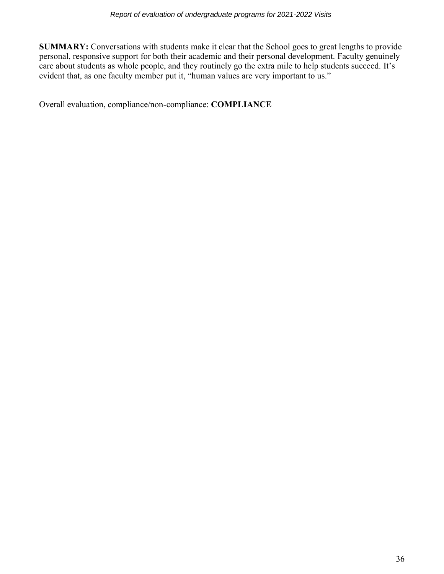**SUMMARY:** Conversations with students make it clear that the School goes to great lengths to provide personal, responsive support for both their academic and their personal development. Faculty genuinely care about students as whole people, and they routinely go the extra mile to help students succeed. It's evident that, as one faculty member put it, "human values are very important to us."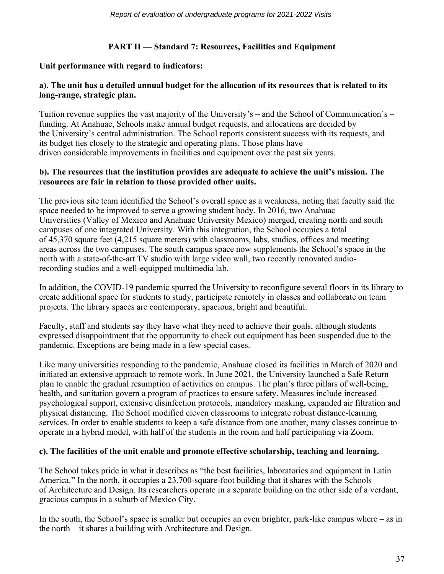# **PART II — Standard 7: Resources, Facilities and Equipment**

#### **Unit performance with regard to indicators:**

# **a). The unit has a detailed annual budget for the allocation of its resources that is related to its long-range, strategic plan.**

Tuition revenue supplies the vast majority of the University's – and the School of Communication´s – funding. At Anahuac, Schools make annual budget requests, and allocations are decided by the University's central administration. The School reports consistent success with its requests, and its budget ties closely to the strategic and operating plans. Those plans have driven considerable improvements in facilities and equipment over the past six years.

#### **b). The resources that the institution provides are adequate to achieve the unit's mission. The resources are fair in relation to those provided other units.**

The previous site team identified the School's overall space as a weakness, noting that faculty said the space needed to be improved to serve a growing student body. In 2016, two Anahuac Universities (Valley of Mexico and Anahuac University Mexico) merged, creating north and south campuses of one integrated University. With this integration, the School occupies a total of 45,370 square feet (4,215 square meters) with classrooms, labs, studios, offices and meeting areas across the two campuses. The south campus space now supplements the School's space in the north with a state-of-the-art TV studio with large video wall, two recently renovated audiorecording studios and a well-equipped multimedia lab.

In addition, the COVID-19 pandemic spurred the University to reconfigure several floors in its library to create additional space for students to study, participate remotely in classes and collaborate on team projects. The library spaces are contemporary, spacious, bright and beautiful.

Faculty, staff and students say they have what they need to achieve their goals, although students expressed disappointment that the opportunity to check out equipment has been suspended due to the pandemic. Exceptions are being made in a few special cases.

Like many universities responding to the pandemic, Anahuac closed its facilities in March of 2020 and initiated an extensive approach to remote work. In June 2021, the University launched a Safe Return plan to enable the gradual resumption of activities on campus. The plan's three pillars of well-being, health, and sanitation govern a program of practices to ensure safety. Measures include increased psychological support, extensive disinfection protocols, mandatory masking, expanded air filtration and physical distancing. The School modified eleven classrooms to integrate robust distance-learning services. In order to enable students to keep a safe distance from one another, many classes continue to operate in a hybrid model, with half of the students in the room and half participating via Zoom.

#### **c). The facilities of the unit enable and promote effective scholarship, teaching and learning.**

The School takes pride in what it describes as "the best facilities, laboratories and equipment in Latin America." In the north, it occupies a 23,700-square-foot building that it shares with the Schools of Architecture and Design. Its researchers operate in a separate building on the other side of a verdant, gracious campus in a suburb of Mexico City.

In the south, the School's space is smaller but occupies an even brighter, park-like campus where – as in the north – it shares a building with Architecture and Design.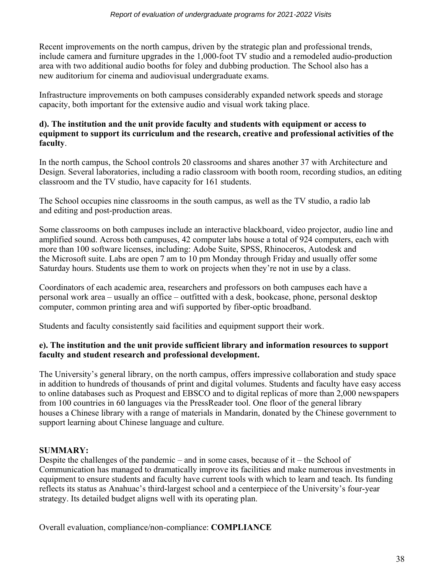Recent improvements on the north campus, driven by the strategic plan and professional trends, include camera and furniture upgrades in the 1,000-foot TV studio and a remodeled audio-production area with two additional audio booths for foley and dubbing production. The School also has a new auditorium for cinema and audiovisual undergraduate exams.

Infrastructure improvements on both campuses considerably expanded network speeds and storage capacity, both important for the extensive audio and visual work taking place.

#### **d). The institution and the unit provide faculty and students with equipment or access to equipment to support its curriculum and the research, creative and professional activities of the faculty**.

In the north campus, the School controls 20 classrooms and shares another 37 with Architecture and Design. Several laboratories, including a radio classroom with booth room, recording studios, an editing classroom and the TV studio, have capacity for 161 students.

The School occupies nine classrooms in the south campus, as well as the TV studio, a radio lab and editing and post-production areas.

Some classrooms on both campuses include an interactive blackboard, video projector, audio line and amplified sound. Across both campuses, 42 computer labs house a total of 924 computers, each with more than 100 software licenses, including: Adobe Suite, SPSS, Rhinoceros, Autodesk and the Microsoft suite. Labs are open 7 am to 10 pm Monday through Friday and usually offer some Saturday hours. Students use them to work on projects when they're not in use by a class.

Coordinators of each academic area, researchers and professors on both campuses each have a personal work area – usually an office – outfitted with a desk, bookcase, phone, personal desktop computer, common printing area and wifi supported by fiber-optic broadband.

Students and faculty consistently said facilities and equipment support their work.

## **e). The institution and the unit provide sufficient library and information resources to support faculty and student research and professional development.**

The University's general library, on the north campus, offers impressive collaboration and study space in addition to hundreds of thousands of print and digital volumes. Students and faculty have easy access to online databases such as Proquest and EBSCO and to digital replicas of more than 2,000 newspapers from 100 countries in 60 languages via the PressReader tool. One floor of the general library houses a Chinese library with a range of materials in Mandarin, donated by the Chinese government to support learning about Chinese language and culture.

# **SUMMARY:**

Despite the challenges of the pandemic – and in some cases, because of it – the School of Communication has managed to dramatically improve its facilities and make numerous investments in equipment to ensure students and faculty have current tools with which to learn and teach. Its funding reflects its status as Anahuac's third-largest school and a centerpiece of the University's four-year strategy. Its detailed budget aligns well with its operating plan.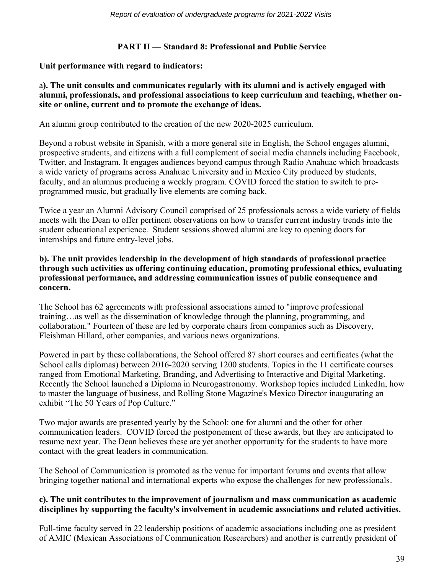# **PART II — Standard 8: Professional and Public Service**

#### **Unit performance with regard to indicators:**

### a**). The unit consults and communicates regularly with its alumni and is actively engaged with alumni, professionals, and professional associations to keep curriculum and teaching, whether onsite or online, current and to promote the exchange of ideas.**

An alumni group contributed to the creation of the new 2020-2025 curriculum.

Beyond a robust website in Spanish, with a more general site in English, the School engages alumni, prospective students, and citizens with a full complement of social media channels including Facebook, Twitter, and Instagram. It engages audiences beyond campus through Radio Anahuac which broadcasts a wide variety of programs across Anahuac University and in Mexico City produced by students, faculty, and an alumnus producing a weekly program. COVID forced the station to switch to preprogrammed music, but gradually live elements are coming back.

Twice a year an Alumni Advisory Council comprised of 25 professionals across a wide variety of fields meets with the Dean to offer pertinent observations on how to transfer current industry trends into the student educational experience. Student sessions showed alumni are key to opening doors for internships and future entry-level jobs.

#### **b). The unit provides leadership in the development of high standards of professional practice through such activities as offering continuing education, promoting professional ethics, evaluating professional performance, and addressing communication issues of public consequence and concern.**

The School has 62 agreements with professional associations aimed to "improve professional training…as well as the dissemination of knowledge through the planning, programming, and collaboration." Fourteen of these are led by corporate chairs from companies such as Discovery, Fleishman Hillard, other companies, and various news organizations.

Powered in part by these collaborations, the School offered 87 short courses and certificates (what the School calls diplomas) between 2016-2020 serving 1200 students. Topics in the 11 certificate courses ranged from Emotional Marketing, Branding, and Advertising to Interactive and Digital Marketing. Recently the School launched a Diploma in Neurogastronomy. Workshop topics included LinkedIn, how to master the language of business, and Rolling Stone Magazine's Mexico Director inaugurating an exhibit "The 50 Years of Pop Culture."

Two major awards are presented yearly by the School: one for alumni and the other for other communication leaders. COVID forced the postponement of these awards, but they are anticipated to resume next year. The Dean believes these are yet another opportunity for the students to have more contact with the great leaders in communication.

The School of Communication is promoted as the venue for important forums and events that allow bringing together national and international experts who expose the challenges for new professionals.

## **c). The unit contributes to the improvement of journalism and mass communication as academic disciplines by supporting the faculty's involvement in academic associations and related activities.**

Full-time faculty served in 22 leadership positions of academic associations including one as president of AMIC (Mexican Associations of Communication Researchers) and another is currently president of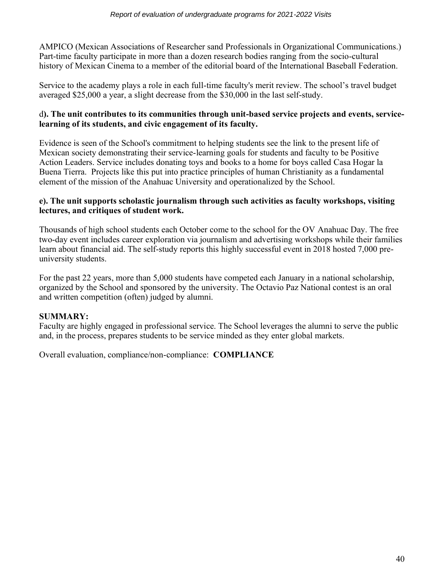AMPICO (Mexican Associations of Researcher sand Professionals in Organizational Communications.) Part-time faculty participate in more than a dozen research bodies ranging from the socio-cultural history of Mexican Cinema to a member of the editorial board of the International Baseball Federation.

Service to the academy plays a role in each full-time faculty's merit review. The school's travel budget averaged \$25,000 a year, a slight decrease from the \$30,000 in the last self-study.

# d**). The unit contributes to its communities through unit-based service projects and events, servicelearning of its students, and civic engagement of its faculty.**

Evidence is seen of the School's commitment to helping students see the link to the present life of Mexican society demonstrating their service-learning goals for students and faculty to be Positive Action Leaders. Service includes donating toys and books to a home for boys called Casa Hogar la Buena Tierra. Projects like this put into practice principles of human Christianity as a fundamental element of the mission of the Anahuac University and operationalized by the School.

#### **e). The unit supports scholastic journalism through such activities as faculty workshops, visiting lectures, and critiques of student work.**

Thousands of high school students each October come to the school for the OV Anahuac Day. The free two-day event includes career exploration via journalism and advertising workshops while their families learn about financial aid. The self-study reports this highly successful event in 2018 hosted 7,000 preuniversity students.

For the past 22 years, more than 5,000 students have competed each January in a national scholarship, organized by the School and sponsored by the university. The Octavio Paz National contest is an oral and written competition (often) judged by alumni.

# **SUMMARY:**

Faculty are highly engaged in professional service. The School leverages the alumni to serve the public and, in the process, prepares students to be service minded as they enter global markets.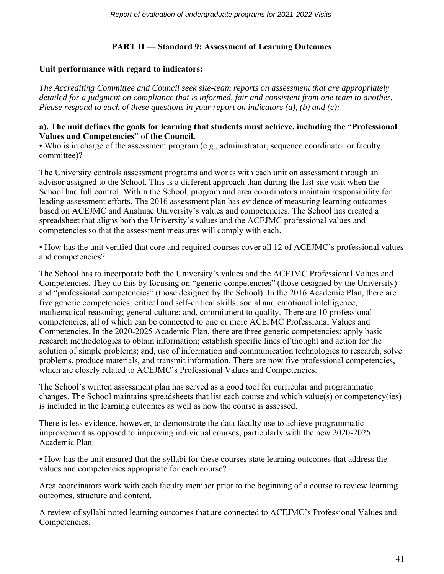# **PART II — Standard 9: Assessment of Learning Outcomes**

# **Unit performance with regard to indicators:**

*The Accrediting Committee and Council seek site-team reports on assessment that are appropriately detailed for a judgment on compliance that is informed, fair and consistent from one team to another. Please respond to each of these questions in your report on indicators (a), (b) and (c):*

#### **a). The unit defines the goals for learning that students must achieve, including the "Professional Values and Competencies" of the Council.**

• Who is in charge of the assessment program (e.g., administrator, sequence coordinator or faculty committee)?

The University controls assessment programs and works with each unit on assessment through an advisor assigned to the School. This is a different approach than during the last site visit when the School had full control. Within the School, program and area coordinators maintain responsibility for leading assessment efforts. The 2016 assessment plan has evidence of measuring learning outcomes based on ACEJMC and Anahuac University's values and competencies. The School has created a spreadsheet that aligns both the University's values and the ACEJMC professional values and competencies so that the assessment measures will comply with each.

• How has the unit verified that core and required courses cover all 12 of ACEJMC's professional values and competencies?

The School has to incorporate both the University's values and the ACEJMC Professional Values and Competencies. They do this by focusing on "generic competencies" (those designed by the University) and "professional competencies" (those designed by the School). In the 2016 Academic Plan, there are five generic competencies: critical and self-critical skills; social and emotional intelligence; mathematical reasoning; general culture; and, commitment to quality. There are 10 professional competencies, all of which can be connected to one or more ACEJMC Professional Values and Competencies. In the 2020-2025 Academic Plan, there are three generic competencies: apply basic research methodologies to obtain information; establish specific lines of thought and action for the solution of simple problems; and, use of information and communication technologies to research, solve problems, produce materials, and transmit information. There are now five professional competencies, which are closely related to ACEJMC's Professional Values and Competencies.

The School's written assessment plan has served as a good tool for curricular and programmatic changes. The School maintains spreadsheets that list each course and which value(s) or competency(ies) is included in the learning outcomes as well as how the course is assessed.

There is less evidence, however, to demonstrate the data faculty use to achieve programmatic improvement as opposed to improving individual courses, particularly with the new 2020-2025 Academic Plan.

• How has the unit ensured that the syllabi for these courses state learning outcomes that address the values and competencies appropriate for each course?

Area coordinators work with each faculty member prior to the beginning of a course to review learning outcomes, structure and content.

A review of syllabi noted learning outcomes that are connected to ACEJMC's Professional Values and Competencies.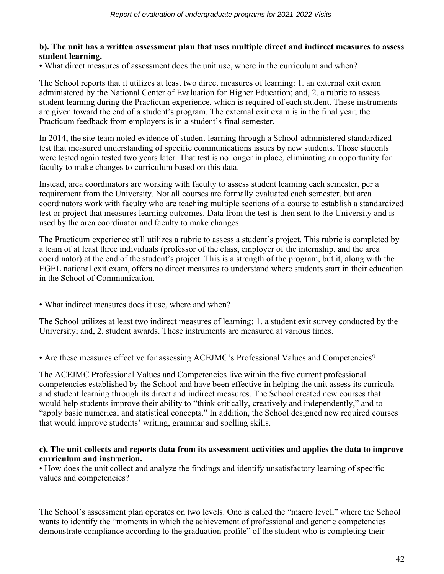#### **b). The unit has a written assessment plan that uses multiple direct and indirect measures to assess student learning.**

• What direct measures of assessment does the unit use, where in the curriculum and when?

The School reports that it utilizes at least two direct measures of learning: 1. an external exit exam administered by the National Center of Evaluation for Higher Education; and, 2. a rubric to assess student learning during the Practicum experience, which is required of each student. These instruments are given toward the end of a student's program. The external exit exam is in the final year; the Practicum feedback from employers is in a student's final semester.

In 2014, the site team noted evidence of student learning through a School-administered standardized test that measured understanding of specific communications issues by new students. Those students were tested again tested two years later. That test is no longer in place, eliminating an opportunity for faculty to make changes to curriculum based on this data.

Instead, area coordinators are working with faculty to assess student learning each semester, per a requirement from the University. Not all courses are formally evaluated each semester, but area coordinators work with faculty who are teaching multiple sections of a course to establish a standardized test or project that measures learning outcomes. Data from the test is then sent to the University and is used by the area coordinator and faculty to make changes.

The Practicum experience still utilizes a rubric to assess a student's project. This rubric is completed by a team of at least three individuals (professor of the class, employer of the internship, and the area coordinator) at the end of the student's project. This is a strength of the program, but it, along with the EGEL national exit exam, offers no direct measures to understand where students start in their education in the School of Communication.

• What indirect measures does it use, where and when?

The School utilizes at least two indirect measures of learning: 1. a student exit survey conducted by the University; and, 2. student awards. These instruments are measured at various times.

• Are these measures effective for assessing ACEJMC's Professional Values and Competencies?

The ACEJMC Professional Values and Competencies live within the five current professional competencies established by the School and have been effective in helping the unit assess its curricula and student learning through its direct and indirect measures. The School created new courses that would help students improve their ability to "think critically, creatively and independently," and to "apply basic numerical and statistical concepts." In addition, the School designed new required courses that would improve students' writing, grammar and spelling skills.

#### **c). The unit collects and reports data from its assessment activities and applies the data to improve curriculum and instruction.**

• How does the unit collect and analyze the findings and identify unsatisfactory learning of specific values and competencies?

The School's assessment plan operates on two levels. One is called the "macro level," where the School wants to identify the "moments in which the achievement of professional and generic competencies demonstrate compliance according to the graduation profile" of the student who is completing their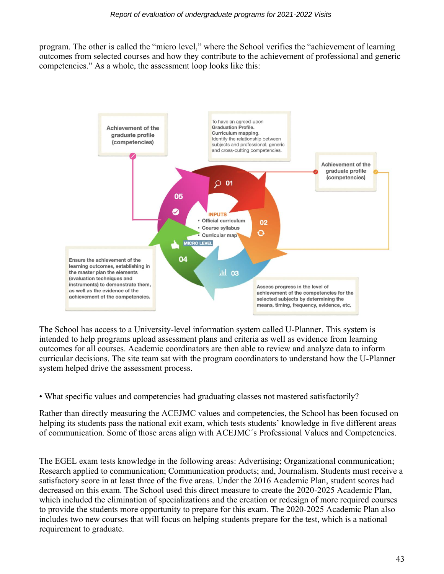program. The other is called the "micro level," where the School verifies the "achievement of learning outcomes from selected courses and how they contribute to the achievement of professional and generic competencies." As a whole, the assessment loop looks like this:



The School has access to a University-level information system called U-Planner. This system is intended to help programs upload assessment plans and criteria as well as evidence from learning outcomes for all courses. Academic coordinators are then able to review and analyze data to inform curricular decisions. The site team sat with the program coordinators to understand how the U-Planner system helped drive the assessment process.

• What specific values and competencies had graduating classes not mastered satisfactorily?

Rather than directly measuring the ACEJMC values and competencies, the School has been focused on helping its students pass the national exit exam, which tests students' knowledge in five different areas of communication. Some of those areas align with ACEJMC´s Professional Values and Competencies.

The EGEL exam tests knowledge in the following areas: Advertising; Organizational communication; Research applied to communication; Communication products; and, Journalism. Students must receive a satisfactory score in at least three of the five areas. Under the 2016 Academic Plan, student scores had decreased on this exam. The School used this direct measure to create the 2020-2025 Academic Plan, which included the elimination of specializations and the creation or redesign of more required courses to provide the students more opportunity to prepare for this exam. The 2020-2025 Academic Plan also includes two new courses that will focus on helping students prepare for the test, which is a national requirement to graduate.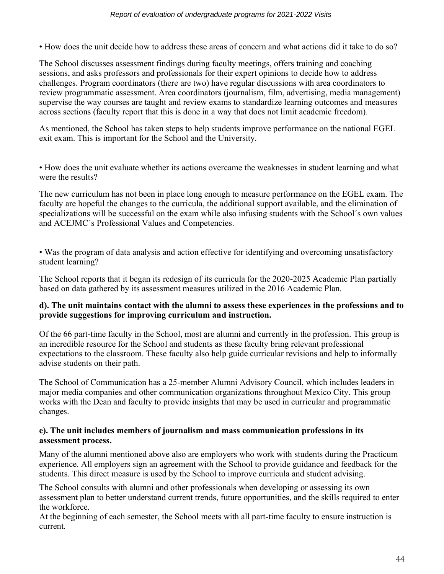• How does the unit decide how to address these areas of concern and what actions did it take to do so?

The School discusses assessment findings during faculty meetings, offers training and coaching sessions, and asks professors and professionals for their expert opinions to decide how to address challenges. Program coordinators (there are two) have regular discussions with area coordinators to review programmatic assessment. Area coordinators (journalism, film, advertising, media management) supervise the way courses are taught and review exams to standardize learning outcomes and measures across sections (faculty report that this is done in a way that does not limit academic freedom).

As mentioned, the School has taken steps to help students improve performance on the national EGEL exit exam. This is important for the School and the University.

• How does the unit evaluate whether its actions overcame the weaknesses in student learning and what were the results?

The new curriculum has not been in place long enough to measure performance on the EGEL exam. The faculty are hopeful the changes to the curricula, the additional support available, and the elimination of specializations will be successful on the exam while also infusing students with the School´s own values and ACEJMC´s Professional Values and Competencies.

• Was the program of data analysis and action effective for identifying and overcoming unsatisfactory student learning?

The School reports that it began its redesign of its curricula for the 2020-2025 Academic Plan partially based on data gathered by its assessment measures utilized in the 2016 Academic Plan.

## **d). The unit maintains contact with the alumni to assess these experiences in the professions and to provide suggestions for improving curriculum and instruction.**

Of the 66 part-time faculty in the School, most are alumni and currently in the profession. This group is an incredible resource for the School and students as these faculty bring relevant professional expectations to the classroom. These faculty also help guide curricular revisions and help to informally advise students on their path.

The School of Communication has a 25-member Alumni Advisory Council, which includes leaders in major media companies and other communication organizations throughout Mexico City. This group works with the Dean and faculty to provide insights that may be used in curricular and programmatic changes.

## **e). The unit includes members of journalism and mass communication professions in its assessment process.**

Many of the alumni mentioned above also are employers who work with students during the Practicum experience. All employers sign an agreement with the School to provide guidance and feedback for the students. This direct measure is used by the School to improve curricula and student advising.

The School consults with alumni and other professionals when developing or assessing its own assessment plan to better understand current trends, future opportunities, and the skills required to enter the workforce.

At the beginning of each semester, the School meets with all part-time faculty to ensure instruction is current.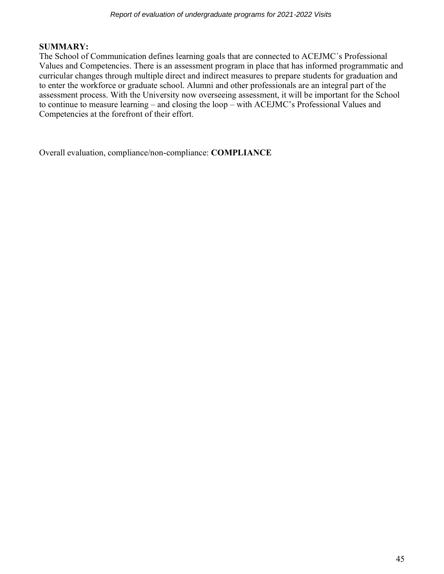# **SUMMARY:**

The School of Communication defines learning goals that are connected to ACEJMC´s Professional Values and Competencies. There is an assessment program in place that has informed programmatic and curricular changes through multiple direct and indirect measures to prepare students for graduation and to enter the workforce or graduate school. Alumni and other professionals are an integral part of the assessment process. With the University now overseeing assessment, it will be important for the School to continue to measure learning – and closing the loop – with ACEJMC's Professional Values and Competencies at the forefront of their effort.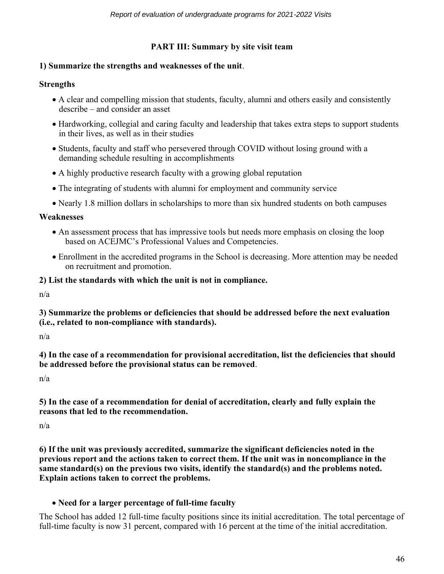# **PART III: Summary by site visit team**

#### **1) Summarize the strengths and weaknesses of the unit**.

#### **Strengths**

- A clear and compelling mission that students, faculty, alumni and others easily and consistently describe – and consider an asset
- Hardworking, collegial and caring faculty and leadership that takes extra steps to support students in their lives, as well as in their studies
- Students, faculty and staff who persevered through COVID without losing ground with a demanding schedule resulting in accomplishments
- A highly productive research faculty with a growing global reputation
- The integrating of students with alumni for employment and community service
- Nearly 1.8 million dollars in scholarships to more than six hundred students on both campuses

#### **Weaknesses**

- An assessment process that has impressive tools but needs more emphasis on closing the loop based on ACEJMC's Professional Values and Competencies.
- Enrollment in the accredited programs in the School is decreasing. More attention may be needed on recruitment and promotion.

#### **2) List the standards with which the unit is not in compliance.**

n/a

**3) Summarize the problems or deficiencies that should be addressed before the next evaluation (i.e., related to non-compliance with standards).** 

n/a

**4) In the case of a recommendation for provisional accreditation, list the deficiencies that should be addressed before the provisional status can be removed**.

n/a

**5) In the case of a recommendation for denial of accreditation, clearly and fully explain the reasons that led to the recommendation.**

n/a

**6) If the unit was previously accredited, summarize the significant deficiencies noted in the previous report and the actions taken to correct them. If the unit was in noncompliance in the same standard(s) on the previous two visits, identify the standard(s) and the problems noted. Explain actions taken to correct the problems.** 

# • **Need for a larger percentage of full-time faculty**

The School has added 12 full-time faculty positions since its initial accreditation. The total percentage of full-time faculty is now 31 percent, compared with 16 percent at the time of the initial accreditation.